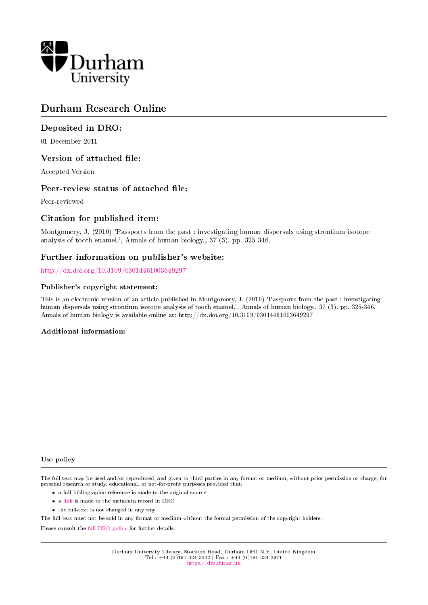

# Durham Research Online

## Deposited in DRO:

01 December 2011

## Version of attached file:

Accepted Version

## Peer-review status of attached file:

Peer-reviewed

## Citation for published item:

Montgomery, J. (2010) 'Passports from the past : investigating human dispersals using strontium isotope analysis of tooth enamel.', Annals of human biology., 37 (3). pp. 325-346.

## Further information on publisher's website:

<http://dx.doi.org/10.3109/03014461003649297>

#### Publisher's copyright statement:

This is an electronic version of an article published in Montgomery, J. (2010) 'Passports from the past : investigating human dispersals using strontium isotope analysis of tooth enamel.', Annals of human biology., 37 (3). pp. 325-346. Annals of human biology is available online at: http://dx.doi.org/10.3109/03014461003649297

#### Additional information:

#### Use policy

The full-text may be used and/or reproduced, and given to third parties in any format or medium, without prior permission or charge, for personal research or study, educational, or not-for-profit purposes provided that:

- a full bibliographic reference is made to the original source
- a [link](http://dro.dur.ac.uk/8514/) is made to the metadata record in DRO
- the full-text is not changed in any way

The full-text must not be sold in any format or medium without the formal permission of the copyright holders.

Please consult the [full DRO policy](https://dro.dur.ac.uk/policies/usepolicy.pdf) for further details.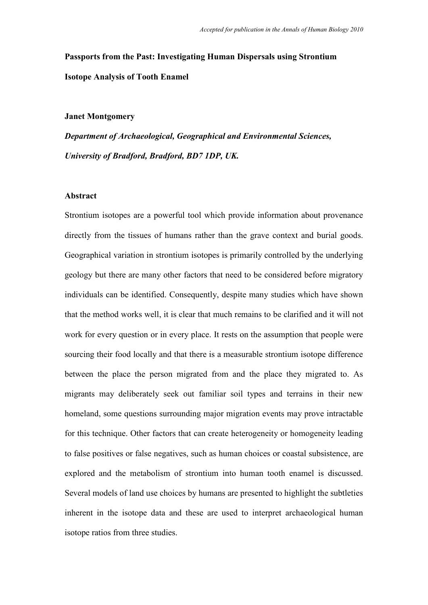**Passports from the Past: Investigating Human Dispersals using Strontium Isotope Analysis of Tooth Enamel**

#### **Janet Montgomery**

*Department of Archaeological, Geographical and Environmental Sciences, University of Bradford, Bradford, BD7 1DP, UK.*

### **Abstract**

Strontium isotopes are a powerful tool which provide information about provenance directly from the tissues of humans rather than the grave context and burial goods. Geographical variation in strontium isotopes is primarily controlled by the underlying geology but there are many other factors that need to be considered before migratory individuals can be identified. Consequently, despite many studies which have shown that the method works well, it is clear that much remains to be clarified and it will not work for every question or in every place. It rests on the assumption that people were sourcing their food locally and that there is a measurable strontium isotope difference between the place the person migrated from and the place they migrated to. As migrants may deliberately seek out familiar soil types and terrains in their new homeland, some questions surrounding major migration events may prove intractable for this technique. Other factors that can create heterogeneity or homogeneity leading to false positives or false negatives, such as human choices or coastal subsistence, are explored and the metabolism of strontium into human tooth enamel is discussed. Several models of land use choices by humans are presented to highlight the subtleties inherent in the isotope data and these are used to interpret archaeological human isotope ratios from three studies.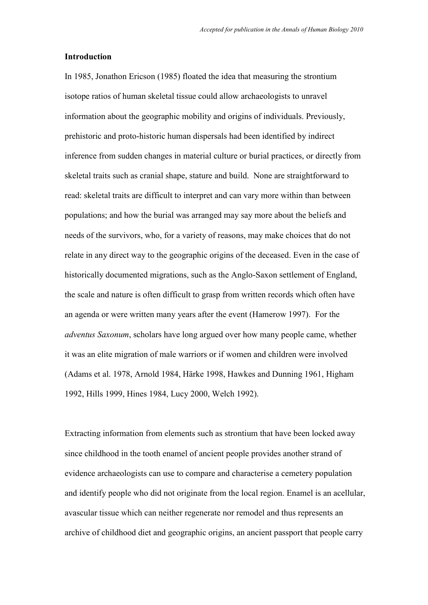#### **Introduction**

In 1985, Jonathon Ericson (1985) floated the idea that measuring the strontium isotope ratios of human skeletal tissue could allow archaeologists to unravel information about the geographic mobility and origins of individuals. Previously, prehistoric and proto-historic human dispersals had been identified by indirect inference from sudden changes in material culture or burial practices, or directly from skeletal traits such as cranial shape, stature and build. None are straightforward to read: skeletal traits are difficult to interpret and can vary more within than between populations; and how the burial was arranged may say more about the beliefs and needs of the survivors, who, for a variety of reasons, may make choices that do not relate in any direct way to the geographic origins of the deceased. Even in the case of historically documented migrations, such as the Anglo-Saxon settlement of England, the scale and nature is often difficult to grasp from written records which often have an agenda or were written many years after the event (Hamerow 1997). For the *adventus Saxonum*, scholars have long argued over how many people came, whether it was an elite migration of male warriors or if women and children were involved (Adams et al. 1978, Arnold 1984, Härke 1998, Hawkes and Dunning 1961, Higham 1992, Hills 1999, Hines 1984, Lucy 2000, Welch 1992).

Extracting information from elements such as strontium that have been locked away since childhood in the tooth enamel of ancient people provides another strand of evidence archaeologists can use to compare and characterise a cemetery population and identify people who did not originate from the local region. Enamel is an acellular, avascular tissue which can neither regenerate nor remodel and thus represents an archive of childhood diet and geographic origins, an ancient passport that people carry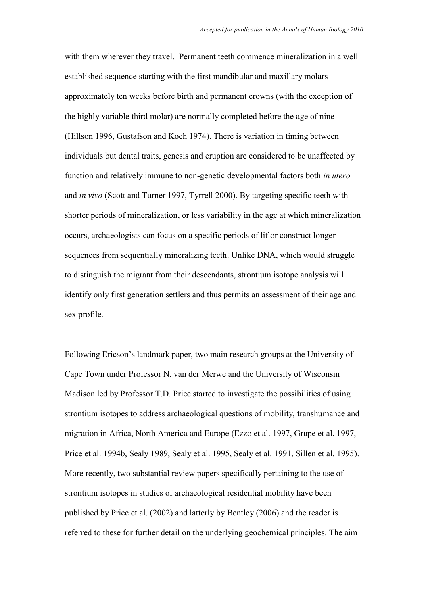with them wherever they travel. Permanent teeth commence mineralization in a well established sequence starting with the first mandibular and maxillary molars approximately ten weeks before birth and permanent crowns (with the exception of the highly variable third molar) are normally completed before the age of nine (Hillson 1996, Gustafson and Koch 1974). There is variation in timing between individuals but dental traits, genesis and eruption are considered to be unaffected by function and relatively immune to non-genetic developmental factors both *in utero* and *in vivo* (Scott and Turner 1997, Tyrrell 2000). By targeting specific teeth with shorter periods of mineralization, or less variability in the age at which mineralization occurs, archaeologists can focus on a specific periods of lif or construct longer sequences from sequentially mineralizing teeth. Unlike DNA, which would struggle to distinguish the migrant from their descendants, strontium isotope analysis will identify only first generation settlers and thus permits an assessment of their age and sex profile.

Following Ericson"s landmark paper, two main research groups at the University of Cape Town under Professor N. van der Merwe and the University of Wisconsin Madison led by Professor T.D. Price started to investigate the possibilities of using strontium isotopes to address archaeological questions of mobility, transhumance and migration in Africa, North America and Europe (Ezzo et al. 1997, Grupe et al. 1997, Price et al. 1994b, Sealy 1989, Sealy et al. 1995, Sealy et al. 1991, Sillen et al. 1995). More recently, two substantial review papers specifically pertaining to the use of strontium isotopes in studies of archaeological residential mobility have been published by Price et al. (2002) and latterly by Bentley (2006) and the reader is referred to these for further detail on the underlying geochemical principles. The aim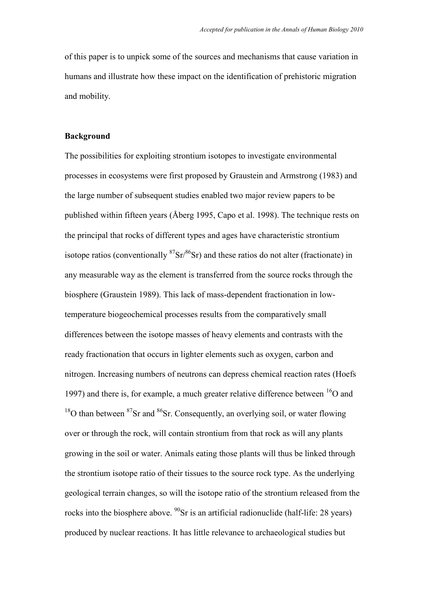of this paper is to unpick some of the sources and mechanisms that cause variation in humans and illustrate how these impact on the identification of prehistoric migration and mobility.

### **Background**

The possibilities for exploiting strontium isotopes to investigate environmental processes in ecosystems were first proposed by Graustein and Armstrong (1983) and the large number of subsequent studies enabled two major review papers to be published within fifteen years (Åberg 1995, Capo et al. 1998). The technique rests on the principal that rocks of different types and ages have characteristic strontium isotope ratios (conventionally  ${}^{87}Sr/{}^{86}Sr$ ) and these ratios do not alter (fractionate) in any measurable way as the element is transferred from the source rocks through the biosphere (Graustein 1989). This lack of mass-dependent fractionation in lowtemperature biogeochemical processes results from the comparatively small differences between the isotope masses of heavy elements and contrasts with the ready fractionation that occurs in lighter elements such as oxygen, carbon and nitrogen. Increasing numbers of neutrons can depress chemical reaction rates (Hoefs 1997) and there is, for example, a much greater relative difference between  ${}^{16}O$  and  $18$ O than between  $87$ Sr and  $86$ Sr. Consequently, an overlying soil, or water flowing over or through the rock, will contain strontium from that rock as will any plants growing in the soil or water. Animals eating those plants will thus be linked through the strontium isotope ratio of their tissues to the source rock type. As the underlying geological terrain changes, so will the isotope ratio of the strontium released from the rocks into the biosphere above.  $^{90}$ Sr is an artificial radionuclide (half-life: 28 years) produced by nuclear reactions. It has little relevance to archaeological studies but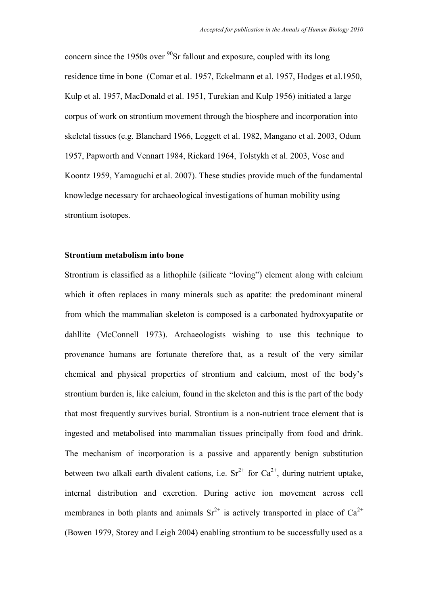concern since the 1950s over  $90$ Sr fallout and exposure, coupled with its long residence time in bone (Comar et al. 1957, Eckelmann et al. 1957, Hodges et al.1950, Kulp et al. 1957, MacDonald et al. 1951, Turekian and Kulp 1956) initiated a large corpus of work on strontium movement through the biosphere and incorporation into skeletal tissues (e.g. Blanchard 1966, Leggett et al. 1982, Mangano et al. 2003, Odum 1957, Papworth and Vennart 1984, Rickard 1964, Tolstykh et al. 2003, Vose and Koontz 1959, Yamaguchi et al. 2007). These studies provide much of the fundamental knowledge necessary for archaeological investigations of human mobility using strontium isotopes.

## **Strontium metabolism into bone**

Strontium is classified as a lithophile (silicate "loving") element along with calcium which it often replaces in many minerals such as apatite: the predominant mineral from which the mammalian skeleton is composed is a carbonated hydroxyapatite or dahllite (McConnell 1973). Archaeologists wishing to use this technique to provenance humans are fortunate therefore that, as a result of the very similar chemical and physical properties of strontium and calcium, most of the body"s strontium burden is, like calcium, found in the skeleton and this is the part of the body that most frequently survives burial. Strontium is a non-nutrient trace element that is ingested and metabolised into mammalian tissues principally from food and drink. The mechanism of incorporation is a passive and apparently benign substitution between two alkali earth divalent cations, i.e.  $Sr^{2+}$  for  $Ca^{2+}$ , during nutrient uptake, internal distribution and excretion. During active ion movement across cell membranes in both plants and animals  $Sr^{2+}$  is actively transported in place of  $Ca^{2+}$ (Bowen 1979, Storey and Leigh 2004) enabling strontium to be successfully used as a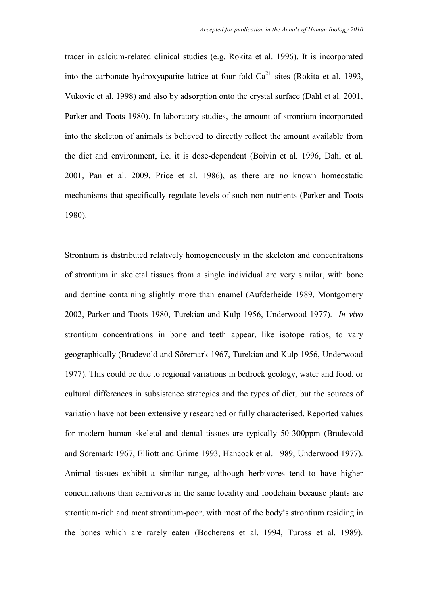tracer in calcium-related clinical studies (e.g. Rokita et al. 1996). It is incorporated into the carbonate hydroxyapatite lattice at four-fold  $Ca^{2+}$  sites (Rokita et al. 1993) Vukovic et al. 1998) and also by adsorption onto the crystal surface (Dahl et al. 2001, Parker and Toots 1980). In laboratory studies, the amount of strontium incorporated into the skeleton of animals is believed to directly reflect the amount available from the diet and environment, i.e. it is dose-dependent (Boivin et al. 1996, Dahl et al. 2001, Pan et al. 2009, Price et al. 1986), as there are no known homeostatic mechanisms that specifically regulate levels of such non-nutrients (Parker and Toots 1980).

Strontium is distributed relatively homogeneously in the skeleton and concentrations of strontium in skeletal tissues from a single individual are very similar, with bone and dentine containing slightly more than enamel (Aufderheide 1989, Montgomery 2002, Parker and Toots 1980, Turekian and Kulp 1956, Underwood 1977). *In vivo* strontium concentrations in bone and teeth appear, like isotope ratios, to vary geographically (Brudevold and Söremark 1967, Turekian and Kulp 1956, Underwood 1977). This could be due to regional variations in bedrock geology, water and food, or cultural differences in subsistence strategies and the types of diet, but the sources of variation have not been extensively researched or fully characterised. Reported values for modern human skeletal and dental tissues are typically 50-300ppm (Brudevold and Söremark 1967, Elliott and Grime 1993, Hancock et al. 1989, Underwood 1977). Animal tissues exhibit a similar range, although herbivores tend to have higher concentrations than carnivores in the same locality and foodchain because plants are strontium-rich and meat strontium-poor, with most of the body"s strontium residing in the bones which are rarely eaten (Bocherens et al. 1994, Tuross et al. 1989).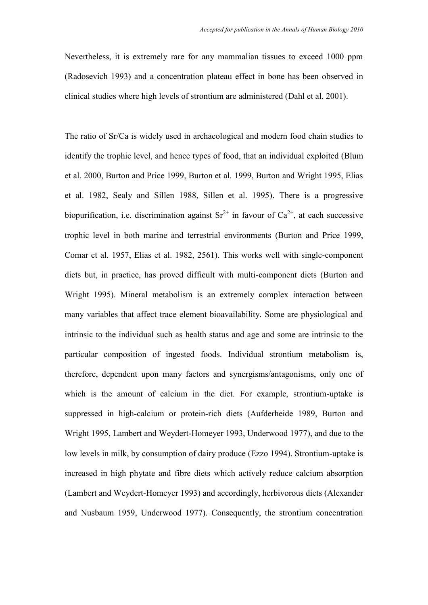Nevertheless, it is extremely rare for any mammalian tissues to exceed 1000 ppm (Radosevich 1993) and a concentration plateau effect in bone has been observed in clinical studies where high levels of strontium are administered (Dahl et al. 2001).

The ratio of Sr/Ca is widely used in archaeological and modern food chain studies to identify the trophic level, and hence types of food, that an individual exploited (Blum et al. 2000, Burton and Price 1999, Burton et al. 1999, Burton and Wright 1995, Elias et al. 1982, Sealy and Sillen 1988, Sillen et al. 1995). There is a progressive biopurification, i.e. discrimination against  $Sr^{2+}$  in favour of  $Ca^{2+}$ , at each successive trophic level in both marine and terrestrial environments (Burton and Price 1999, Comar et al. 1957, Elias et al. 1982, 2561). This works well with single-component diets but, in practice, has proved difficult with multi-component diets (Burton and Wright 1995). Mineral metabolism is an extremely complex interaction between many variables that affect trace element bioavailability. Some are physiological and intrinsic to the individual such as health status and age and some are intrinsic to the particular composition of ingested foods. Individual strontium metabolism is, therefore, dependent upon many factors and synergisms/antagonisms, only one of which is the amount of calcium in the diet. For example, strontium-uptake is suppressed in high-calcium or protein-rich diets (Aufderheide 1989, Burton and Wright 1995, Lambert and Weydert-Homeyer 1993, Underwood 1977), and due to the low levels in milk, by consumption of dairy produce (Ezzo 1994). Strontium-uptake is increased in high phytate and fibre diets which actively reduce calcium absorption (Lambert and Weydert-Homeyer 1993) and accordingly, herbivorous diets (Alexander and Nusbaum 1959, Underwood 1977). Consequently, the strontium concentration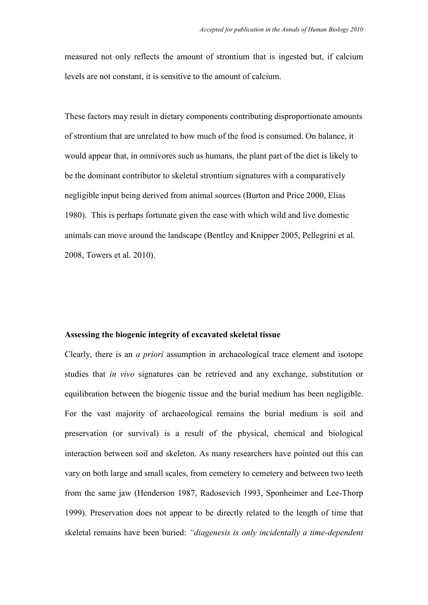measured not only reflects the amount of strontium that is ingested but, if calcium levels are not constant, it is sensitive to the amount of calcium.

These factors may result in dietary components contributing disproportionate amounts of strontium that are unrelated to how much of the food is consumed. On balance, it would appear that, in omnivores such as humans, the plant part of the diet is likely to be the dominant contributor to skeletal strontium signatures with a comparatively negligible input being derived from animal sources (Burton and Price 2000, Elias 1980). This is perhaps fortunate given the ease with which wild and live domestic animals can move around the landscape (Bentley and Knipper 2005, Pellegrini et al. 2008, Towers et al. 2010).

#### **Assessing the biogenic integrity of excavated skeletal tissue**

Clearly, there is an *a priori* assumption in archaeological trace element and isotope studies that *in vivo* signatures can be retrieved and any exchange, substitution or equilibration between the biogenic tissue and the burial medium has been negligible. For the vast majority of archaeological remains the burial medium is soil and preservation (or survival) is a result of the physical, chemical and biological interaction between soil and skeleton. As many researchers have pointed out this can vary on both large and small scales, from cemetery to cemetery and between two teeth from the same jaw (Henderson 1987, Radosevich 1993, Sponheimer and Lee-Thorp 1999). Preservation does not appear to be directly related to the length of time that skeletal remains have been buried: *"diagenesis is only incidentally a time-dependent*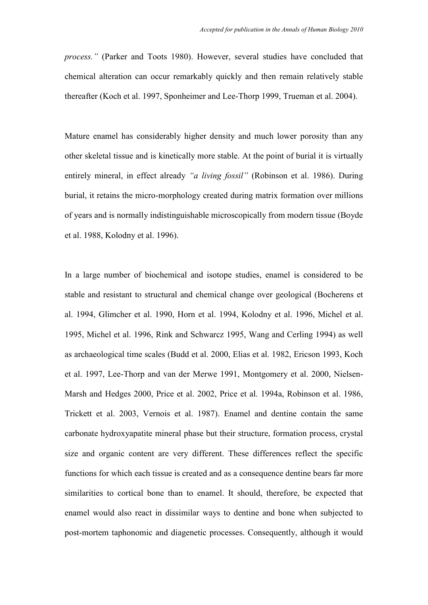*process."* (Parker and Toots 1980). However, several studies have concluded that chemical alteration can occur remarkably quickly and then remain relatively stable thereafter (Koch et al. 1997, Sponheimer and Lee-Thorp 1999, Trueman et al. 2004).

Mature enamel has considerably higher density and much lower porosity than any other skeletal tissue and is kinetically more stable. At the point of burial it is virtually entirely mineral, in effect already *"a living fossil"* (Robinson et al. 1986). During burial, it retains the micro-morphology created during matrix formation over millions of years and is normally indistinguishable microscopically from modern tissue (Boyde et al. 1988, Kolodny et al. 1996).

In a large number of biochemical and isotope studies, enamel is considered to be stable and resistant to structural and chemical change over geological (Bocherens et al. 1994, Glimcher et al. 1990, Horn et al. 1994, Kolodny et al. 1996, Michel et al. 1995, Michel et al. 1996, Rink and Schwarcz 1995, Wang and Cerling 1994) as well as archaeological time scales (Budd et al. 2000, Elias et al. 1982, Ericson 1993, Koch et al. 1997, Lee-Thorp and van der Merwe 1991, Montgomery et al. 2000, Nielsen-Marsh and Hedges 2000, Price et al. 2002, Price et al. 1994a, Robinson et al. 1986, Trickett et al. 2003, Vernois et al. 1987). Enamel and dentine contain the same carbonate hydroxyapatite mineral phase but their structure, formation process, crystal size and organic content are very different. These differences reflect the specific functions for which each tissue is created and as a consequence dentine bears far more similarities to cortical bone than to enamel. It should, therefore, be expected that enamel would also react in dissimilar ways to dentine and bone when subjected to post-mortem taphonomic and diagenetic processes. Consequently, although it would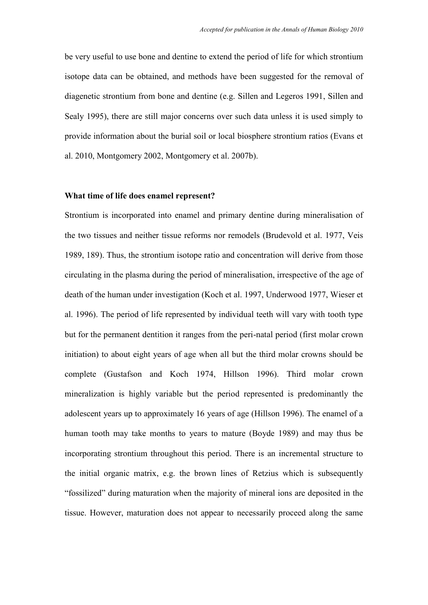be very useful to use bone and dentine to extend the period of life for which strontium isotope data can be obtained, and methods have been suggested for the removal of diagenetic strontium from bone and dentine (e.g. Sillen and Legeros 1991, Sillen and Sealy 1995), there are still major concerns over such data unless it is used simply to provide information about the burial soil or local biosphere strontium ratios (Evans et al. 2010, Montgomery 2002, Montgomery et al. 2007b).

#### **What time of life does enamel represent?**

Strontium is incorporated into enamel and primary dentine during mineralisation of the two tissues and neither tissue reforms nor remodels (Brudevold et al. 1977, Veis 1989, 189). Thus, the strontium isotope ratio and concentration will derive from those circulating in the plasma during the period of mineralisation, irrespective of the age of death of the human under investigation (Koch et al. 1997, Underwood 1977, Wieser et al. 1996). The period of life represented by individual teeth will vary with tooth type but for the permanent dentition it ranges from the peri-natal period (first molar crown initiation) to about eight years of age when all but the third molar crowns should be complete (Gustafson and Koch 1974, Hillson 1996). Third molar crown mineralization is highly variable but the period represented is predominantly the adolescent years up to approximately 16 years of age (Hillson 1996). The enamel of a human tooth may take months to years to mature (Boyde 1989) and may thus be incorporating strontium throughout this period. There is an incremental structure to the initial organic matrix, e.g. the brown lines of Retzius which is subsequently "fossilized" during maturation when the majority of mineral ions are deposited in the tissue. However, maturation does not appear to necessarily proceed along the same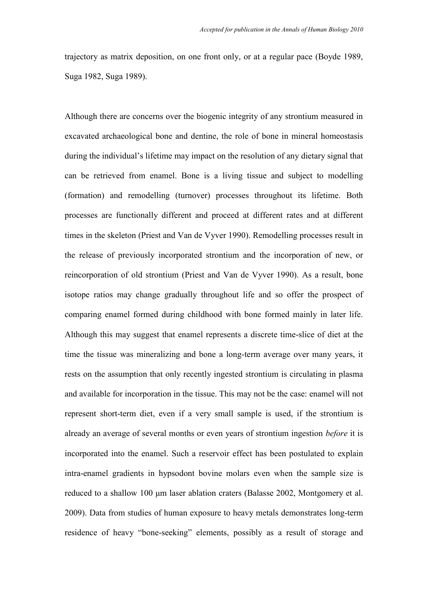trajectory as matrix deposition, on one front only, or at a regular pace (Boyde 1989, Suga 1982, Suga 1989).

Although there are concerns over the biogenic integrity of any strontium measured in excavated archaeological bone and dentine, the role of bone in mineral homeostasis during the individual's lifetime may impact on the resolution of any dietary signal that can be retrieved from enamel. Bone is a living tissue and subject to modelling (formation) and remodelling (turnover) processes throughout its lifetime. Both processes are functionally different and proceed at different rates and at different times in the skeleton (Priest and Van de Vyver 1990). Remodelling processes result in the release of previously incorporated strontium and the incorporation of new, or reincorporation of old strontium (Priest and Van de Vyver 1990). As a result, bone isotope ratios may change gradually throughout life and so offer the prospect of comparing enamel formed during childhood with bone formed mainly in later life. Although this may suggest that enamel represents a discrete time-slice of diet at the time the tissue was mineralizing and bone a long-term average over many years, it rests on the assumption that only recently ingested strontium is circulating in plasma and available for incorporation in the tissue. This may not be the case: enamel will not represent short-term diet, even if a very small sample is used, if the strontium is already an average of several months or even years of strontium ingestion *before* it is incorporated into the enamel. Such a reservoir effect has been postulated to explain intra-enamel gradients in hypsodont bovine molars even when the sample size is reduced to a shallow 100 μm laser ablation craters (Balasse 2002, Montgomery et al. 2009). Data from studies of human exposure to heavy metals demonstrates long-term residence of heavy "bone-seeking" elements, possibly as a result of storage and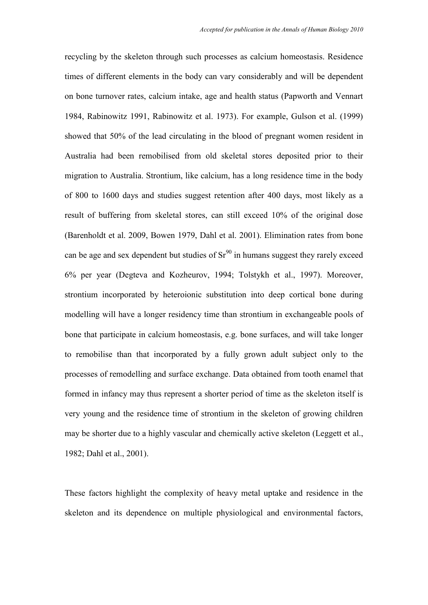recycling by the skeleton through such processes as calcium homeostasis. Residence times of different elements in the body can vary considerably and will be dependent on bone turnover rates, calcium intake, age and health status (Papworth and Vennart 1984, Rabinowitz 1991, Rabinowitz et al. 1973). For example, Gulson et al. (1999) showed that 50% of the lead circulating in the blood of pregnant women resident in Australia had been remobilised from old skeletal stores deposited prior to their migration to Australia. Strontium, like calcium, has a long residence time in the body of 800 to 1600 days and studies suggest retention after 400 days, most likely as a result of buffering from skeletal stores, can still exceed 10% of the original dose (Barenholdt et al. 2009, Bowen 1979, Dahl et al. 2001). Elimination rates from bone can be age and sex dependent but studies of  $Sr^{90}$  in humans suggest they rarely exceed 6% per year (Degteva and Kozheurov, 1994; Tolstykh et al., 1997). Moreover, strontium incorporated by heteroionic substitution into deep cortical bone during modelling will have a longer residency time than strontium in exchangeable pools of bone that participate in calcium homeostasis, e.g. bone surfaces, and will take longer to remobilise than that incorporated by a fully grown adult subject only to the processes of remodelling and surface exchange. Data obtained from tooth enamel that formed in infancy may thus represent a shorter period of time as the skeleton itself is very young and the residence time of strontium in the skeleton of growing children may be shorter due to a highly vascular and chemically active skeleton (Leggett et al., 1982; Dahl et al., 2001).

These factors highlight the complexity of heavy metal uptake and residence in the skeleton and its dependence on multiple physiological and environmental factors,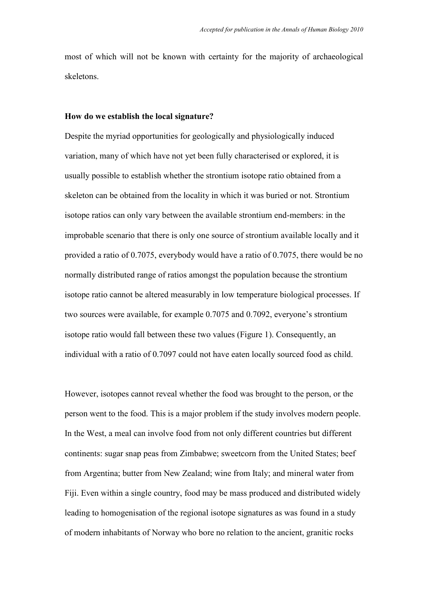most of which will not be known with certainty for the majority of archaeological skeletons.

#### **How do we establish the local signature?**

Despite the myriad opportunities for geologically and physiologically induced variation, many of which have not yet been fully characterised or explored, it is usually possible to establish whether the strontium isotope ratio obtained from a skeleton can be obtained from the locality in which it was buried or not. Strontium isotope ratios can only vary between the available strontium end-members: in the improbable scenario that there is only one source of strontium available locally and it provided a ratio of 0.7075, everybody would have a ratio of 0.7075, there would be no normally distributed range of ratios amongst the population because the strontium isotope ratio cannot be altered measurably in low temperature biological processes. If two sources were available, for example 0.7075 and 0.7092, everyone's strontium isotope ratio would fall between these two values (Figure 1). Consequently, an individual with a ratio of 0.7097 could not have eaten locally sourced food as child.

However, isotopes cannot reveal whether the food was brought to the person, or the person went to the food. This is a major problem if the study involves modern people. In the West, a meal can involve food from not only different countries but different continents: sugar snap peas from Zimbabwe; sweetcorn from the United States; beef from Argentina; butter from New Zealand; wine from Italy; and mineral water from Fiji. Even within a single country, food may be mass produced and distributed widely leading to homogenisation of the regional isotope signatures as was found in a study of modern inhabitants of Norway who bore no relation to the ancient, granitic rocks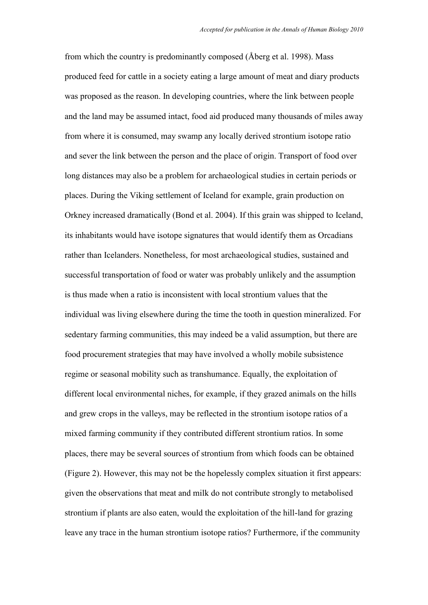from which the country is predominantly composed (Åberg et al. 1998). Mass produced feed for cattle in a society eating a large amount of meat and diary products was proposed as the reason. In developing countries, where the link between people and the land may be assumed intact, food aid produced many thousands of miles away from where it is consumed, may swamp any locally derived strontium isotope ratio and sever the link between the person and the place of origin. Transport of food over long distances may also be a problem for archaeological studies in certain periods or places. During the Viking settlement of Iceland for example, grain production on Orkney increased dramatically (Bond et al. 2004). If this grain was shipped to Iceland, its inhabitants would have isotope signatures that would identify them as Orcadians rather than Icelanders. Nonetheless, for most archaeological studies, sustained and successful transportation of food or water was probably unlikely and the assumption is thus made when a ratio is inconsistent with local strontium values that the individual was living elsewhere during the time the tooth in question mineralized. For sedentary farming communities, this may indeed be a valid assumption, but there are food procurement strategies that may have involved a wholly mobile subsistence regime or seasonal mobility such as transhumance. Equally, the exploitation of different local environmental niches, for example, if they grazed animals on the hills and grew crops in the valleys, may be reflected in the strontium isotope ratios of a mixed farming community if they contributed different strontium ratios. In some places, there may be several sources of strontium from which foods can be obtained (Figure 2). However, this may not be the hopelessly complex situation it first appears: given the observations that meat and milk do not contribute strongly to metabolised strontium if plants are also eaten, would the exploitation of the hill-land for grazing leave any trace in the human strontium isotope ratios? Furthermore, if the community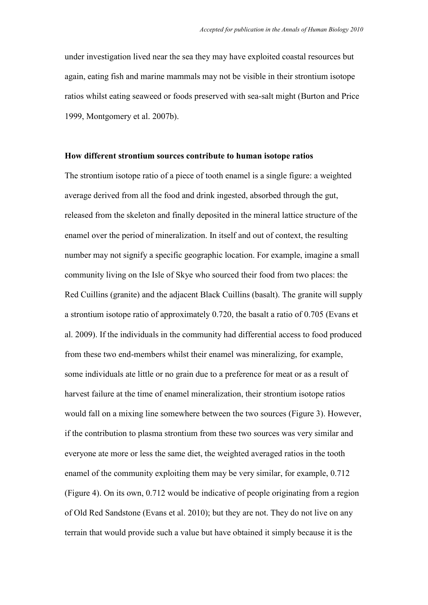under investigation lived near the sea they may have exploited coastal resources but again, eating fish and marine mammals may not be visible in their strontium isotope ratios whilst eating seaweed or foods preserved with sea-salt might (Burton and Price 1999, Montgomery et al. 2007b).

## **How different strontium sources contribute to human isotope ratios**

The strontium isotope ratio of a piece of tooth enamel is a single figure: a weighted average derived from all the food and drink ingested, absorbed through the gut, released from the skeleton and finally deposited in the mineral lattice structure of the enamel over the period of mineralization. In itself and out of context, the resulting number may not signify a specific geographic location. For example, imagine a small community living on the Isle of Skye who sourced their food from two places: the Red Cuillins (granite) and the adjacent Black Cuillins (basalt). The granite will supply a strontium isotope ratio of approximately 0.720, the basalt a ratio of 0.705 (Evans et al. 2009). If the individuals in the community had differential access to food produced from these two end-members whilst their enamel was mineralizing, for example, some individuals ate little or no grain due to a preference for meat or as a result of harvest failure at the time of enamel mineralization, their strontium isotope ratios would fall on a mixing line somewhere between the two sources (Figure 3). However, if the contribution to plasma strontium from these two sources was very similar and everyone ate more or less the same diet, the weighted averaged ratios in the tooth enamel of the community exploiting them may be very similar, for example, 0.712 (Figure 4). On its own, 0.712 would be indicative of people originating from a region of Old Red Sandstone (Evans et al. 2010); but they are not. They do not live on any terrain that would provide such a value but have obtained it simply because it is the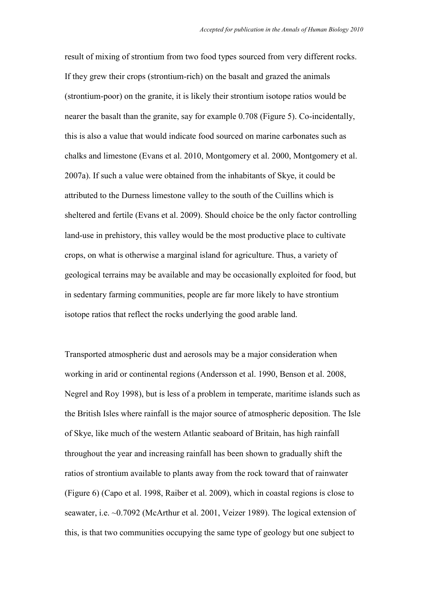result of mixing of strontium from two food types sourced from very different rocks. If they grew their crops (strontium-rich) on the basalt and grazed the animals (strontium-poor) on the granite, it is likely their strontium isotope ratios would be nearer the basalt than the granite, say for example 0.708 (Figure 5). Co-incidentally, this is also a value that would indicate food sourced on marine carbonates such as chalks and limestone (Evans et al. 2010, Montgomery et al. 2000, Montgomery et al. 2007a). If such a value were obtained from the inhabitants of Skye, it could be attributed to the Durness limestone valley to the south of the Cuillins which is sheltered and fertile (Evans et al. 2009). Should choice be the only factor controlling land-use in prehistory, this valley would be the most productive place to cultivate crops, on what is otherwise a marginal island for agriculture. Thus, a variety of geological terrains may be available and may be occasionally exploited for food, but in sedentary farming communities, people are far more likely to have strontium isotope ratios that reflect the rocks underlying the good arable land.

Transported atmospheric dust and aerosols may be a major consideration when working in arid or continental regions (Andersson et al. 1990, Benson et al. 2008, Negrel and Roy 1998), but is less of a problem in temperate, maritime islands such as the British Isles where rainfall is the major source of atmospheric deposition. The Isle of Skye, like much of the western Atlantic seaboard of Britain, has high rainfall throughout the year and increasing rainfall has been shown to gradually shift the ratios of strontium available to plants away from the rock toward that of rainwater (Figure 6) (Capo et al. 1998, Raiber et al. 2009), which in coastal regions is close to seawater, i.e. ~0.7092 (McArthur et al. 2001, Veizer 1989). The logical extension of this, is that two communities occupying the same type of geology but one subject to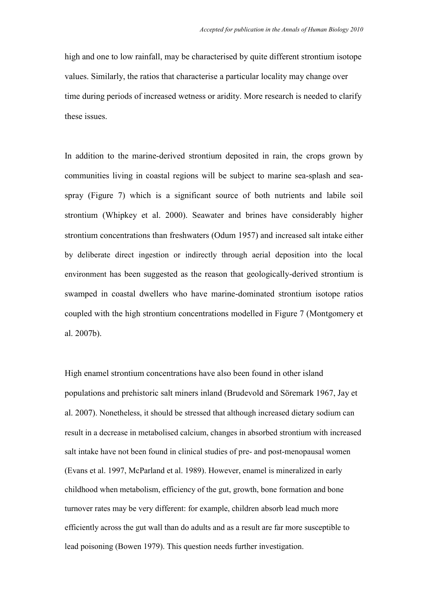high and one to low rainfall, may be characterised by quite different strontium isotope values. Similarly, the ratios that characterise a particular locality may change over time during periods of increased wetness or aridity. More research is needed to clarify these issues.

In addition to the marine-derived strontium deposited in rain, the crops grown by communities living in coastal regions will be subject to marine sea-splash and seaspray (Figure 7) which is a significant source of both nutrients and labile soil strontium (Whipkey et al. 2000). Seawater and brines have considerably higher strontium concentrations than freshwaters (Odum 1957) and increased salt intake either by deliberate direct ingestion or indirectly through aerial deposition into the local environment has been suggested as the reason that geologically-derived strontium is swamped in coastal dwellers who have marine-dominated strontium isotope ratios coupled with the high strontium concentrations modelled in Figure 7 (Montgomery et al. 2007b).

High enamel strontium concentrations have also been found in other island populations and prehistoric salt miners inland (Brudevold and Söremark 1967, Jay et al. 2007). Nonetheless, it should be stressed that although increased dietary sodium can result in a decrease in metabolised calcium, changes in absorbed strontium with increased salt intake have not been found in clinical studies of pre- and post-menopausal women (Evans et al. 1997, McParland et al. 1989). However, enamel is mineralized in early childhood when metabolism, efficiency of the gut, growth, bone formation and bone turnover rates may be very different: for example, children absorb lead much more efficiently across the gut wall than do adults and as a result are far more susceptible to lead poisoning (Bowen 1979). This question needs further investigation.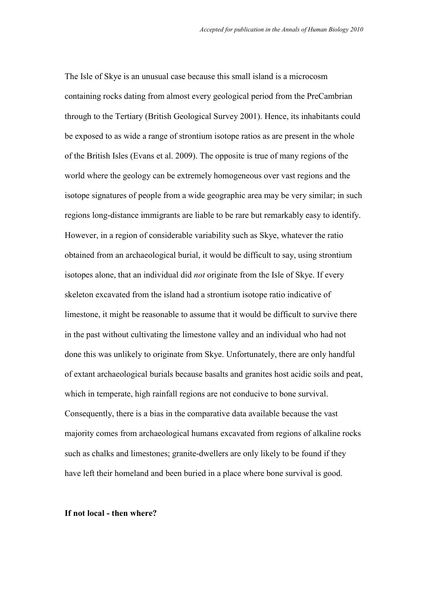The Isle of Skye is an unusual case because this small island is a microcosm containing rocks dating from almost every geological period from the PreCambrian through to the Tertiary (British Geological Survey 2001). Hence, its inhabitants could be exposed to as wide a range of strontium isotope ratios as are present in the whole of the British Isles (Evans et al. 2009). The opposite is true of many regions of the world where the geology can be extremely homogeneous over vast regions and the isotope signatures of people from a wide geographic area may be very similar; in such regions long-distance immigrants are liable to be rare but remarkably easy to identify. However, in a region of considerable variability such as Skye, whatever the ratio obtained from an archaeological burial, it would be difficult to say, using strontium isotopes alone, that an individual did *not* originate from the Isle of Skye. If every skeleton excavated from the island had a strontium isotope ratio indicative of limestone, it might be reasonable to assume that it would be difficult to survive there in the past without cultivating the limestone valley and an individual who had not done this was unlikely to originate from Skye. Unfortunately, there are only handful of extant archaeological burials because basalts and granites host acidic soils and peat, which in temperate, high rainfall regions are not conducive to bone survival. Consequently, there is a bias in the comparative data available because the vast majority comes from archaeological humans excavated from regions of alkaline rocks such as chalks and limestones; granite-dwellers are only likely to be found if they have left their homeland and been buried in a place where bone survival is good.

### **If not local - then where?**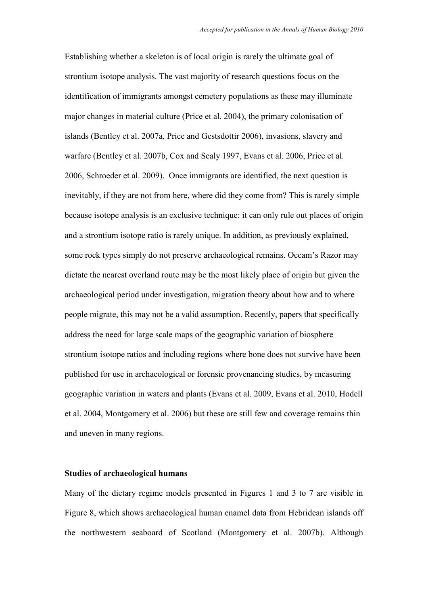Establishing whether a skeleton is of local origin is rarely the ultimate goal of strontium isotope analysis. The vast majority of research questions focus on the identification of immigrants amongst cemetery populations as these may illuminate major changes in material culture (Price et al. 2004), the primary colonisation of islands (Bentley et al. 2007a, Price and Gestsdottir 2006), invasions, slavery and warfare (Bentley et al. 2007b, Cox and Sealy 1997, Evans et al. 2006, Price et al. 2006, Schroeder et al. 2009). Once immigrants are identified, the next question is inevitably, if they are not from here, where did they come from? This is rarely simple because isotope analysis is an exclusive technique: it can only rule out places of origin and a strontium isotope ratio is rarely unique. In addition, as previously explained, some rock types simply do not preserve archaeological remains. Occam"s Razor may dictate the nearest overland route may be the most likely place of origin but given the archaeological period under investigation, migration theory about how and to where people migrate, this may not be a valid assumption. Recently, papers that specifically address the need for large scale maps of the geographic variation of biosphere strontium isotope ratios and including regions where bone does not survive have been published for use in archaeological or forensic provenancing studies, by measuring geographic variation in waters and plants (Evans et al. 2009, Evans et al. 2010, Hodell et al. 2004, Montgomery et al. 2006) but these are still few and coverage remains thin and uneven in many regions.

### **Studies of archaeological humans**

Many of the dietary regime models presented in Figures 1 and 3 to 7 are visible in Figure 8, which shows archaeological human enamel data from Hebridean islands off the northwestern seaboard of Scotland (Montgomery et al. 2007b). Although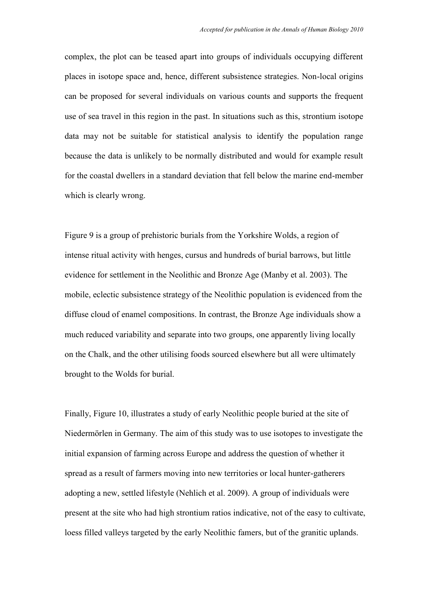complex, the plot can be teased apart into groups of individuals occupying different places in isotope space and, hence, different subsistence strategies. Non-local origins can be proposed for several individuals on various counts and supports the frequent use of sea travel in this region in the past. In situations such as this, strontium isotope data may not be suitable for statistical analysis to identify the population range because the data is unlikely to be normally distributed and would for example result for the coastal dwellers in a standard deviation that fell below the marine end-member which is clearly wrong.

Figure 9 is a group of prehistoric burials from the Yorkshire Wolds, a region of intense ritual activity with henges, cursus and hundreds of burial barrows, but little evidence for settlement in the Neolithic and Bronze Age (Manby et al. 2003). The mobile, eclectic subsistence strategy of the Neolithic population is evidenced from the diffuse cloud of enamel compositions. In contrast, the Bronze Age individuals show a much reduced variability and separate into two groups, one apparently living locally on the Chalk, and the other utilising foods sourced elsewhere but all were ultimately brought to the Wolds for burial.

Finally, Figure 10, illustrates a study of early Neolithic people buried at the site of Niedermörlen in Germany. The aim of this study was to use isotopes to investigate the initial expansion of farming across Europe and address the question of whether it spread as a result of farmers moving into new territories or local hunter-gatherers adopting a new, settled lifestyle (Nehlich et al. 2009). A group of individuals were present at the site who had high strontium ratios indicative, not of the easy to cultivate, loess filled valleys targeted by the early Neolithic famers, but of the granitic uplands.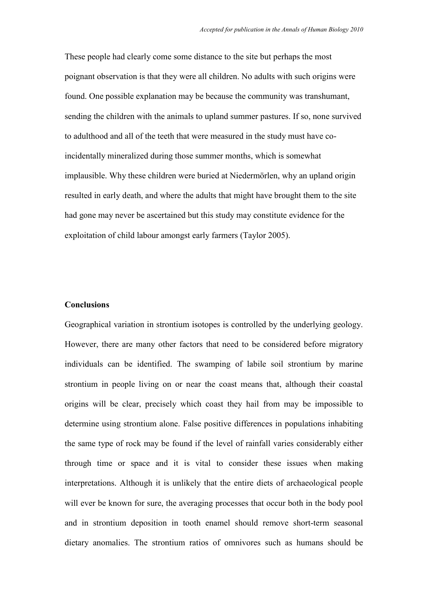These people had clearly come some distance to the site but perhaps the most poignant observation is that they were all children. No adults with such origins were found. One possible explanation may be because the community was transhumant, sending the children with the animals to upland summer pastures. If so, none survived to adulthood and all of the teeth that were measured in the study must have coincidentally mineralized during those summer months, which is somewhat implausible. Why these children were buried at Niedermörlen, why an upland origin resulted in early death, and where the adults that might have brought them to the site had gone may never be ascertained but this study may constitute evidence for the exploitation of child labour amongst early farmers (Taylor 2005).

#### **Conclusions**

Geographical variation in strontium isotopes is controlled by the underlying geology. However, there are many other factors that need to be considered before migratory individuals can be identified. The swamping of labile soil strontium by marine strontium in people living on or near the coast means that, although their coastal origins will be clear, precisely which coast they hail from may be impossible to determine using strontium alone. False positive differences in populations inhabiting the same type of rock may be found if the level of rainfall varies considerably either through time or space and it is vital to consider these issues when making interpretations. Although it is unlikely that the entire diets of archaeological people will ever be known for sure, the averaging processes that occur both in the body pool and in strontium deposition in tooth enamel should remove short-term seasonal dietary anomalies. The strontium ratios of omnivores such as humans should be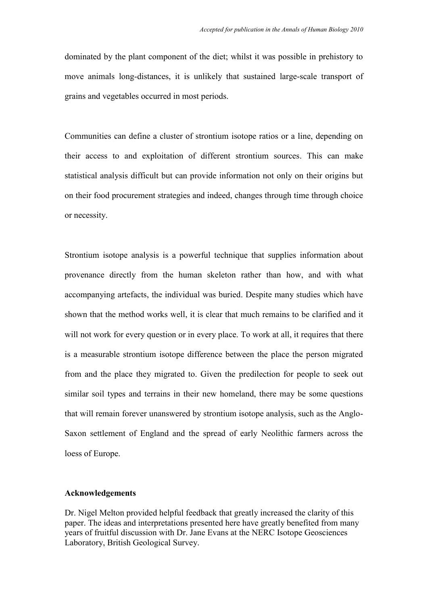dominated by the plant component of the diet; whilst it was possible in prehistory to move animals long-distances, it is unlikely that sustained large-scale transport of grains and vegetables occurred in most periods.

Communities can define a cluster of strontium isotope ratios or a line, depending on their access to and exploitation of different strontium sources. This can make statistical analysis difficult but can provide information not only on their origins but on their food procurement strategies and indeed, changes through time through choice or necessity.

Strontium isotope analysis is a powerful technique that supplies information about provenance directly from the human skeleton rather than how, and with what accompanying artefacts, the individual was buried. Despite many studies which have shown that the method works well, it is clear that much remains to be clarified and it will not work for every question or in every place. To work at all, it requires that there is a measurable strontium isotope difference between the place the person migrated from and the place they migrated to. Given the predilection for people to seek out similar soil types and terrains in their new homeland, there may be some questions that will remain forever unanswered by strontium isotope analysis, such as the Anglo-Saxon settlement of England and the spread of early Neolithic farmers across the loess of Europe.

### **Acknowledgements**

Dr. Nigel Melton provided helpful feedback that greatly increased the clarity of this paper. The ideas and interpretations presented here have greatly benefited from many years of fruitful discussion with Dr. Jane Evans at the NERC Isotope Geosciences Laboratory, British Geological Survey.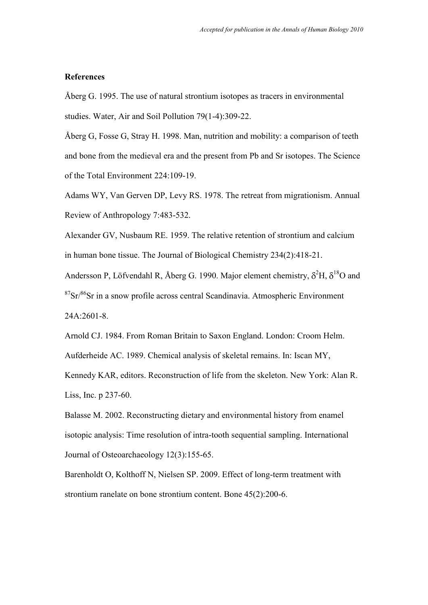## **References**

Åberg G. 1995. The use of natural strontium isotopes as tracers in environmental studies. Water, Air and Soil Pollution 79(1-4):309-22.

Åberg G, Fosse G, Stray H. 1998. Man, nutrition and mobility: a comparison of teeth and bone from the medieval era and the present from Pb and Sr isotopes. The Science of the Total Environment 224:109-19.

Adams WY, Van Gerven DP, Levy RS. 1978. The retreat from migrationism. Annual Review of Anthropology 7:483-532.

Alexander GV, Nusbaum RE. 1959. The relative retention of strontium and calcium in human bone tissue. The Journal of Biological Chemistry 234(2):418-21.

Andersson P, Löfvendahl R, Åberg G. 1990. Major element chemistry,  $\delta^2$ H,  $\delta^{18}$ O and  $87Sr/86Sr$  in a snow profile across central Scandinavia. Atmospheric Environment 24A:2601-8.

Arnold CJ. 1984. From Roman Britain to Saxon England. London: Croom Helm. Aufderheide AC. 1989. Chemical analysis of skeletal remains. In: Iscan MY, Kennedy KAR, editors. Reconstruction of life from the skeleton. New York: Alan R.

Liss, Inc. p 237-60.

Balasse M. 2002. Reconstructing dietary and environmental history from enamel isotopic analysis: Time resolution of intra-tooth sequential sampling. International Journal of Osteoarchaeology 12(3):155-65.

Barenholdt O, Kolthoff N, Nielsen SP. 2009. Effect of long-term treatment with strontium ranelate on bone strontium content. Bone 45(2):200-6.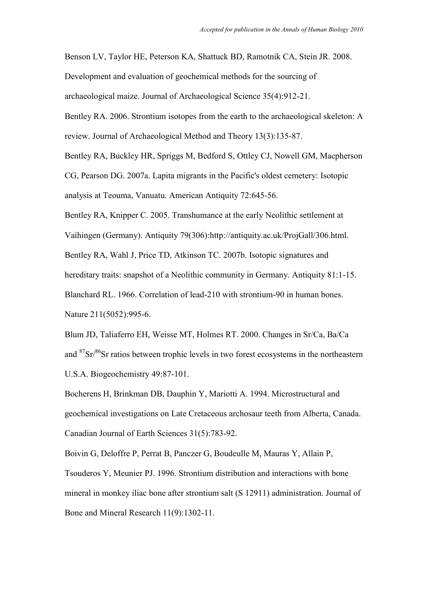Benson LV, Taylor HE, Peterson KA, Shattuck BD, Ramotnik CA, Stein JR. 2008.

Development and evaluation of geochemical methods for the sourcing of

archaeological maize. Journal of Archaeological Science 35(4):912-21.

Bentley RA. 2006. Strontium isotopes from the earth to the archaeological skeleton: A review. Journal of Archaeological Method and Theory 13(3):135-87.

Bentley RA, Buckley HR, Spriggs M, Bedford S, Ottley CJ, Nowell GM, Macpherson CG, Pearson DG. 2007a. Lapita migrants in the Pacific's oldest cemetery: Isotopic analysis at Teouma, Vanuatu. American Antiquity 72:645-56.

Bentley RA, Knipper C. 2005. Transhumance at the early Neolithic settlement at Vaihingen (Germany). Antiquity 79(306):http://antiquity.ac.uk/ProjGall/306.html. Bentley RA, Wahl J, Price TD, Atkinson TC. 2007b. Isotopic signatures and hereditary traits: snapshot of a Neolithic community in Germany. Antiquity 81:1-15. Blanchard RL. 1966. Correlation of lead-210 with strontium-90 in human bones. Nature 211(5052):995-6.

Blum JD, Taliaferro EH, Weisse MT, Holmes RT. 2000. Changes in Sr/Ca, Ba/Ca and  $87\text{Sr}/86\text{Sr}$  ratios between trophic levels in two forest ecosystems in the northeastern U.S.A. Biogeochemistry 49:87-101.

Bocherens H, Brinkman DB, Dauphin Y, Mariotti A. 1994. Microstructural and geochemical investigations on Late Cretaceous archosaur teeth from Alberta, Canada. Canadian Journal of Earth Sciences 31(5):783-92.

Boivin G, Deloffre P, Perrat B, Panczer G, Boudeulle M, Mauras Y, Allain P, Tsouderos Y, Meunier PJ. 1996. Strontium distribution and interactions with bone mineral in monkey iliac bone after strontium salt (S 12911) administration. Journal of Bone and Mineral Research 11(9):1302-11.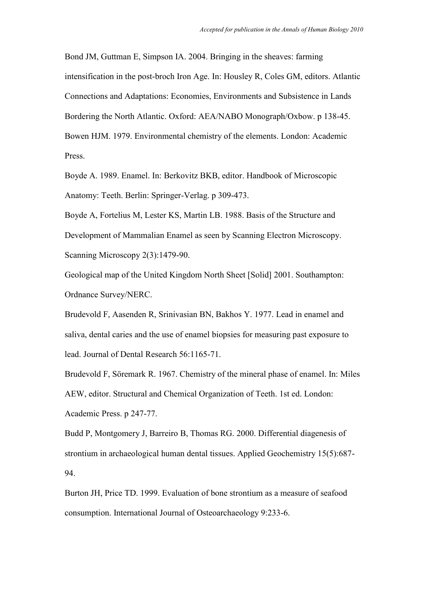Bond JM, Guttman E, Simpson IA. 2004. Bringing in the sheaves: farming intensification in the post-broch Iron Age. In: Housley R, Coles GM, editors. Atlantic Connections and Adaptations: Economies, Environments and Subsistence in Lands Bordering the North Atlantic. Oxford: AEA/NABO Monograph/Oxbow. p 138-45. Bowen HJM. 1979. Environmental chemistry of the elements. London: Academic Press.

Boyde A. 1989. Enamel. In: Berkovitz BKB, editor. Handbook of Microscopic Anatomy: Teeth. Berlin: Springer-Verlag. p 309-473.

Boyde A, Fortelius M, Lester KS, Martin LB. 1988. Basis of the Structure and Development of Mammalian Enamel as seen by Scanning Electron Microscopy. Scanning Microscopy 2(3):1479-90.

Geological map of the United Kingdom North Sheet [Solid] 2001. Southampton: Ordnance Survey/NERC.

Brudevold F, Aasenden R, Srinivasian BN, Bakhos Y. 1977. Lead in enamel and saliva, dental caries and the use of enamel biopsies for measuring past exposure to lead. Journal of Dental Research 56:1165-71.

Brudevold F, Söremark R. 1967. Chemistry of the mineral phase of enamel. In: Miles AEW, editor. Structural and Chemical Organization of Teeth. 1st ed. London: Academic Press. p 247-77.

Budd P, Montgomery J, Barreiro B, Thomas RG. 2000. Differential diagenesis of strontium in archaeological human dental tissues. Applied Geochemistry 15(5):687- 94.

Burton JH, Price TD. 1999. Evaluation of bone strontium as a measure of seafood consumption. International Journal of Osteoarchaeology 9:233-6.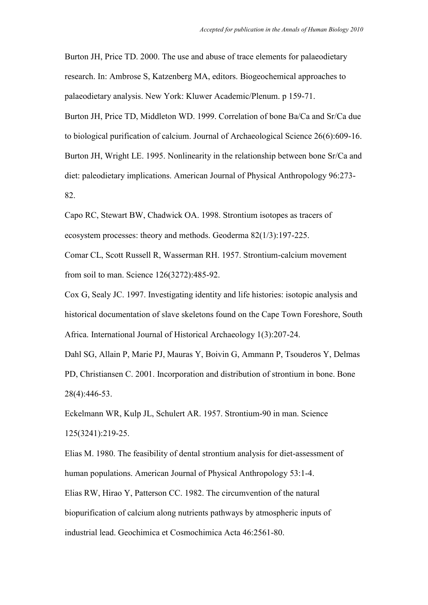Burton JH, Price TD. 2000. The use and abuse of trace elements for palaeodietary research. In: Ambrose S, Katzenberg MA, editors. Biogeochemical approaches to palaeodietary analysis. New York: Kluwer Academic/Plenum. p 159-71. Burton JH, Price TD, Middleton WD. 1999. Correlation of bone Ba/Ca and Sr/Ca due to biological purification of calcium. Journal of Archaeological Science 26(6):609-16. Burton JH, Wright LE. 1995. Nonlinearity in the relationship between bone Sr/Ca and diet: paleodietary implications. American Journal of Physical Anthropology 96:273- 82.

Capo RC, Stewart BW, Chadwick OA. 1998. Strontium isotopes as tracers of ecosystem processes: theory and methods. Geoderma 82(1/3):197-225.

Comar CL, Scott Russell R, Wasserman RH. 1957. Strontium-calcium movement from soil to man. Science 126(3272):485-92.

Cox G, Sealy JC. 1997. Investigating identity and life histories: isotopic analysis and historical documentation of slave skeletons found on the Cape Town Foreshore, South Africa. International Journal of Historical Archaeology 1(3):207-24.

Dahl SG, Allain P, Marie PJ, Mauras Y, Boivin G, Ammann P, Tsouderos Y, Delmas PD, Christiansen C. 2001. Incorporation and distribution of strontium in bone. Bone 28(4):446-53.

Eckelmann WR, Kulp JL, Schulert AR. 1957. Strontium-90 in man. Science 125(3241):219-25.

Elias M. 1980. The feasibility of dental strontium analysis for diet-assessment of human populations. American Journal of Physical Anthropology 53:1-4. Elias RW, Hirao Y, Patterson CC. 1982. The circumvention of the natural biopurification of calcium along nutrients pathways by atmospheric inputs of industrial lead. Geochimica et Cosmochimica Acta 46:2561-80.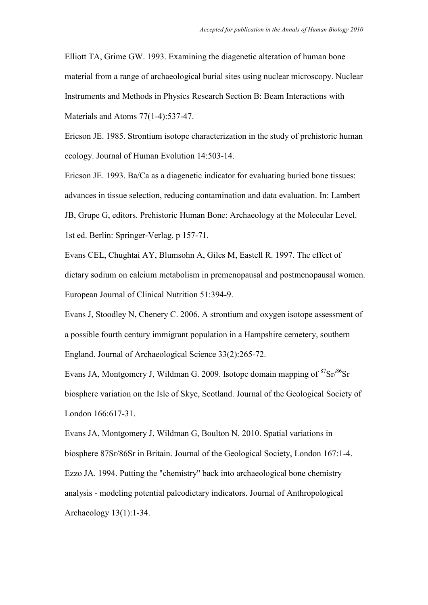Elliott TA, Grime GW. 1993. Examining the diagenetic alteration of human bone material from a range of archaeological burial sites using nuclear microscopy. Nuclear Instruments and Methods in Physics Research Section B: Beam Interactions with Materials and Atoms 77(1-4):537-47.

Ericson JE. 1985. Strontium isotope characterization in the study of prehistoric human ecology. Journal of Human Evolution 14:503-14.

Ericson JE. 1993. Ba/Ca as a diagenetic indicator for evaluating buried bone tissues: advances in tissue selection, reducing contamination and data evaluation. In: Lambert JB, Grupe G, editors. Prehistoric Human Bone: Archaeology at the Molecular Level. 1st ed. Berlin: Springer-Verlag. p 157-71.

Evans CEL, Chughtai AY, Blumsohn A, Giles M, Eastell R. 1997. The effect of dietary sodium on calcium metabolism in premenopausal and postmenopausal women. European Journal of Clinical Nutrition 51:394-9.

Evans J, Stoodley N, Chenery C. 2006. A strontium and oxygen isotope assessment of a possible fourth century immigrant population in a Hampshire cemetery, southern England. Journal of Archaeological Science 33(2):265-72.

Evans JA, Montgomery J, Wildman G. 2009. Isotope domain mapping of  ${}^{87}Sr/{}^{86}Sr$ biosphere variation on the Isle of Skye, Scotland. Journal of the Geological Society of London 166:617-31.

Evans JA, Montgomery J, Wildman G, Boulton N. 2010. Spatial variations in biosphere 87Sr/86Sr in Britain. Journal of the Geological Society, London 167:1-4. Ezzo JA. 1994. Putting the "chemistry" back into archaeological bone chemistry analysis - modeling potential paleodietary indicators. Journal of Anthropological Archaeology 13(1):1-34.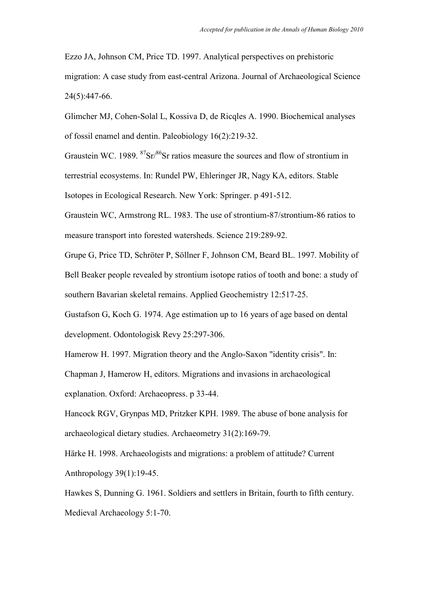Ezzo JA, Johnson CM, Price TD. 1997. Analytical perspectives on prehistoric migration: A case study from east-central Arizona. Journal of Archaeological Science 24(5):447-66.

Glimcher MJ, Cohen-Solal L, Kossiva D, de Ricqles A. 1990. Biochemical analyses of fossil enamel and dentin. Paleobiology 16(2):219-32.

Graustein WC. 1989.  ${}^{87}Sr/{}^{86}Sr$  ratios measure the sources and flow of strontium in terrestrial ecosystems. In: Rundel PW, Ehleringer JR, Nagy KA, editors. Stable Isotopes in Ecological Research. New York: Springer. p 491-512.

Graustein WC, Armstrong RL. 1983. The use of strontium-87/strontium-86 ratios to measure transport into forested watersheds. Science 219:289-92.

Grupe G, Price TD, Schröter P, Söllner F, Johnson CM, Beard BL. 1997. Mobility of Bell Beaker people revealed by strontium isotope ratios of tooth and bone: a study of southern Bavarian skeletal remains. Applied Geochemistry 12:517-25.

Gustafson G, Koch G. 1974. Age estimation up to 16 years of age based on dental development. Odontologisk Revy 25:297-306.

Hamerow H. 1997. Migration theory and the Anglo-Saxon "identity crisis". In:

Chapman J, Hamerow H, editors. Migrations and invasions in archaeological explanation. Oxford: Archaeopress. p 33-44.

Hancock RGV, Grynpas MD, Pritzker KPH. 1989. The abuse of bone analysis for archaeological dietary studies. Archaeometry 31(2):169-79.

Härke H. 1998. Archaeologists and migrations: a problem of attitude? Current Anthropology 39(1):19-45.

Hawkes S, Dunning G. 1961. Soldiers and settlers in Britain, fourth to fifth century. Medieval Archaeology 5:1-70.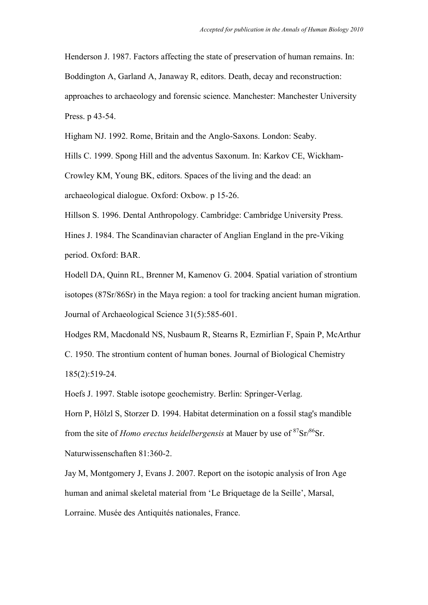Henderson J. 1987. Factors affecting the state of preservation of human remains. In: Boddington A, Garland A, Janaway R, editors. Death, decay and reconstruction: approaches to archaeology and forensic science. Manchester: Manchester University Press. p 43-54.

Higham NJ. 1992. Rome, Britain and the Anglo-Saxons. London: Seaby.

Hills C. 1999. Spong Hill and the adventus Saxonum. In: Karkov CE, Wickham-Crowley KM, Young BK, editors. Spaces of the living and the dead: an archaeological dialogue. Oxford: Oxbow. p 15-26.

Hillson S. 1996. Dental Anthropology. Cambridge: Cambridge University Press. Hines J. 1984. The Scandinavian character of Anglian England in the pre-Viking

period. Oxford: BAR.

Hodell DA, Quinn RL, Brenner M, Kamenov G. 2004. Spatial variation of strontium isotopes (87Sr/86Sr) in the Maya region: a tool for tracking ancient human migration. Journal of Archaeological Science 31(5):585-601.

Hodges RM, Macdonald NS, Nusbaum R, Stearns R, Ezmirlian F, Spain P, McArthur C. 1950. The strontium content of human bones. Journal of Biological Chemistry 185(2):519-24.

Hoefs J. 1997. Stable isotope geochemistry. Berlin: Springer-Verlag.

Horn P, Hölzl S, Storzer D. 1994. Habitat determination on a fossil stag's mandible from the site of *Homo erectus heidelbergensis* at Mauer by use of <sup>87</sup>Sr/<sup>86</sup>Sr.

Naturwissenschaften 81:360-2.

Jay M, Montgomery J, Evans J. 2007. Report on the isotopic analysis of Iron Age human and animal skeletal material from "Le Briquetage de la Seille", Marsal,

Lorraine. Musée des Antiquités nationales, France.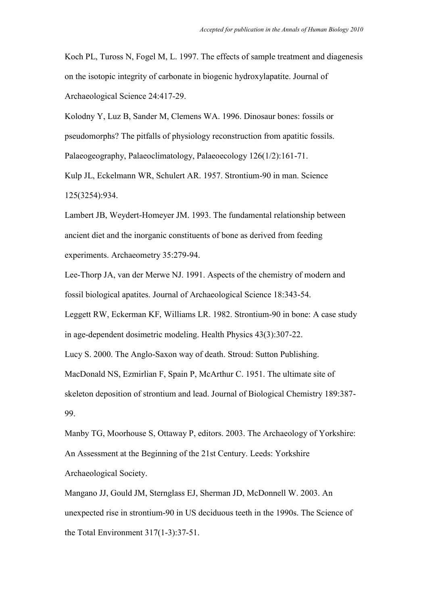Koch PL, Tuross N, Fogel M, L. 1997. The effects of sample treatment and diagenesis on the isotopic integrity of carbonate in biogenic hydroxylapatite. Journal of Archaeological Science 24:417-29.

Kolodny Y, Luz B, Sander M, Clemens WA. 1996. Dinosaur bones: fossils or pseudomorphs? The pitfalls of physiology reconstruction from apatitic fossils. Palaeogeography, Palaeoclimatology, Palaeoecology 126(1/2):161-71.

Kulp JL, Eckelmann WR, Schulert AR. 1957. Strontium-90 in man. Science 125(3254):934.

Lambert JB, Weydert-Homeyer JM. 1993. The fundamental relationship between ancient diet and the inorganic constituents of bone as derived from feeding experiments. Archaeometry 35:279-94.

Lee-Thorp JA, van der Merwe NJ. 1991. Aspects of the chemistry of modern and fossil biological apatites. Journal of Archaeological Science 18:343-54.

Leggett RW, Eckerman KF, Williams LR. 1982. Strontium-90 in bone: A case study in age-dependent dosimetric modeling. Health Physics 43(3):307-22.

Lucy S. 2000. The Anglo-Saxon way of death. Stroud: Sutton Publishing.

MacDonald NS, Ezmirlian F, Spain P, McArthur C. 1951. The ultimate site of skeleton deposition of strontium and lead. Journal of Biological Chemistry 189:387- 99.

Manby TG, Moorhouse S, Ottaway P, editors. 2003. The Archaeology of Yorkshire: An Assessment at the Beginning of the 21st Century. Leeds: Yorkshire Archaeological Society.

Mangano JJ, Gould JM, Sternglass EJ, Sherman JD, McDonnell W. 2003. An unexpected rise in strontium-90 in US deciduous teeth in the 1990s. The Science of the Total Environment 317(1-3):37-51.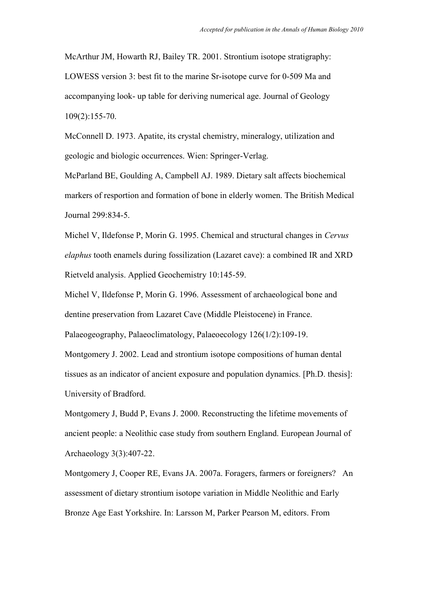McArthur JM, Howarth RJ, Bailey TR. 2001. Strontium isotope stratigraphy: LOWESS version 3: best fit to the marine Sr-isotope curve for 0-509 Ma and accompanying look- up table for deriving numerical age. Journal of Geology 109(2):155-70.

McConnell D. 1973. Apatite, its crystal chemistry, mineralogy, utilization and geologic and biologic occurrences. Wien: Springer-Verlag.

McParland BE, Goulding A, Campbell AJ. 1989. Dietary salt affects biochemical markers of resportion and formation of bone in elderly women. The British Medical Journal 299:834-5.

Michel V, Ildefonse P, Morin G. 1995. Chemical and structural changes in *Cervus elaphus* tooth enamels during fossilization (Lazaret cave): a combined IR and XRD Rietveld analysis. Applied Geochemistry 10:145-59.

Michel V, Ildefonse P, Morin G. 1996. Assessment of archaeological bone and dentine preservation from Lazaret Cave (Middle Pleistocene) in France.

Palaeogeography, Palaeoclimatology, Palaeoecology 126(1/2):109-19.

Montgomery J. 2002. Lead and strontium isotope compositions of human dental tissues as an indicator of ancient exposure and population dynamics. [Ph.D. thesis]: University of Bradford.

Montgomery J, Budd P, Evans J. 2000. Reconstructing the lifetime movements of ancient people: a Neolithic case study from southern England. European Journal of Archaeology 3(3):407-22.

Montgomery J, Cooper RE, Evans JA. 2007a. Foragers, farmers or foreigners? An assessment of dietary strontium isotope variation in Middle Neolithic and Early Bronze Age East Yorkshire. In: Larsson M, Parker Pearson M, editors. From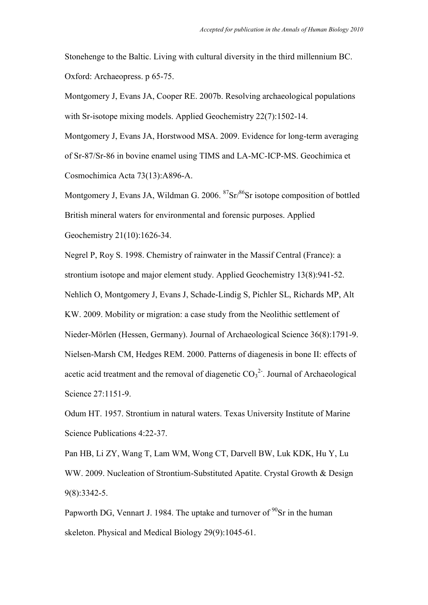Stonehenge to the Baltic. Living with cultural diversity in the third millennium BC. Oxford: Archaeopress. p 65-75.

Montgomery J, Evans JA, Cooper RE. 2007b. Resolving archaeological populations with Sr-isotope mixing models. Applied Geochemistry 22(7):1502-14.

Montgomery J, Evans JA, Horstwood MSA. 2009. Evidence for long-term averaging of Sr-87/Sr-86 in bovine enamel using TIMS and LA-MC-ICP-MS. Geochimica et Cosmochimica Acta 73(13):A896-A.

Montgomery J, Evans JA, Wildman G. 2006.  ${}^{87}Sr/{}^{86}Sr$  isotope composition of bottled British mineral waters for environmental and forensic purposes. Applied Geochemistry 21(10):1626-34.

Negrel P, Roy S. 1998. Chemistry of rainwater in the Massif Central (France): a strontium isotope and major element study. Applied Geochemistry 13(8):941-52. Nehlich O, Montgomery J, Evans J, Schade-Lindig S, Pichler SL, Richards MP, Alt KW. 2009. Mobility or migration: a case study from the Neolithic settlement of Nieder-Mörlen (Hessen, Germany). Journal of Archaeological Science 36(8):1791-9. Nielsen-Marsh CM, Hedges REM. 2000. Patterns of diagenesis in bone II: effects of acetic acid treatment and the removal of diagenetic  $CO<sub>3</sub><sup>2</sup>$ . Journal of Archaeological Science 27:1151-9.

Odum HT. 1957. Strontium in natural waters. Texas University Institute of Marine Science Publications 4:22-37.

Pan HB, Li ZY, Wang T, Lam WM, Wong CT, Darvell BW, Luk KDK, Hu Y, Lu WW. 2009. Nucleation of Strontium-Substituted Apatite. Crystal Growth & Design 9(8):3342-5.

Papworth DG, Vennart J. 1984. The uptake and turnover of  $90$ Sr in the human skeleton. Physical and Medical Biology 29(9):1045-61.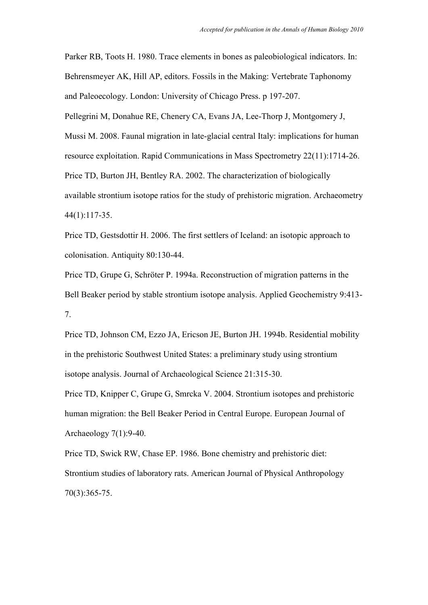Parker RB, Toots H. 1980. Trace elements in bones as paleobiological indicators. In: Behrensmeyer AK, Hill AP, editors. Fossils in the Making: Vertebrate Taphonomy and Paleoecology. London: University of Chicago Press. p 197-207.

Pellegrini M, Donahue RE, Chenery CA, Evans JA, Lee-Thorp J, Montgomery J, Mussi M. 2008. Faunal migration in late-glacial central Italy: implications for human resource exploitation. Rapid Communications in Mass Spectrometry 22(11):1714-26. Price TD, Burton JH, Bentley RA. 2002. The characterization of biologically available strontium isotope ratios for the study of prehistoric migration. Archaeometry 44(1):117-35.

Price TD, Gestsdottir H. 2006. The first settlers of Iceland: an isotopic approach to colonisation. Antiquity 80:130-44.

Price TD, Grupe G, Schröter P. 1994a. Reconstruction of migration patterns in the Bell Beaker period by stable strontium isotope analysis. Applied Geochemistry 9:413- 7.

Price TD, Johnson CM, Ezzo JA, Ericson JE, Burton JH. 1994b. Residential mobility in the prehistoric Southwest United States: a preliminary study using strontium isotope analysis. Journal of Archaeological Science 21:315-30.

Price TD, Knipper C, Grupe G, Smrcka V. 2004. Strontium isotopes and prehistoric human migration: the Bell Beaker Period in Central Europe. European Journal of Archaeology 7(1):9-40.

Price TD, Swick RW, Chase EP. 1986. Bone chemistry and prehistoric diet: Strontium studies of laboratory rats. American Journal of Physical Anthropology 70(3):365-75.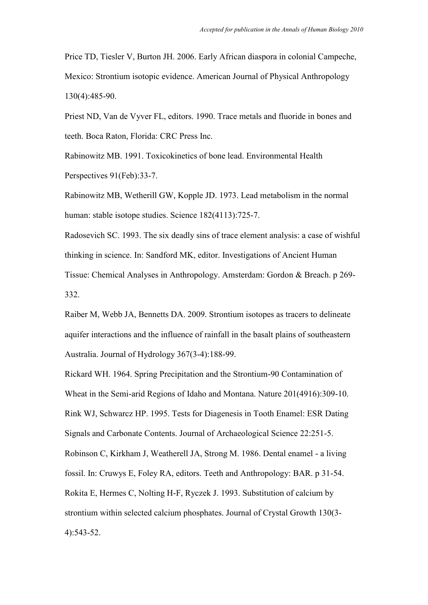Price TD, Tiesler V, Burton JH. 2006. Early African diaspora in colonial Campeche, Mexico: Strontium isotopic evidence. American Journal of Physical Anthropology 130(4):485-90.

Priest ND, Van de Vyver FL, editors. 1990. Trace metals and fluoride in bones and teeth. Boca Raton, Florida: CRC Press Inc.

Rabinowitz MB. 1991. Toxicokinetics of bone lead. Environmental Health Perspectives 91(Feb):33-7.

Rabinowitz MB, Wetherill GW, Kopple JD. 1973. Lead metabolism in the normal human: stable isotope studies. Science 182(4113):725-7.

Radosevich SC. 1993. The six deadly sins of trace element analysis: a case of wishful thinking in science. In: Sandford MK, editor. Investigations of Ancient Human Tissue: Chemical Analyses in Anthropology. Amsterdam: Gordon & Breach. p 269- 332.

Raiber M, Webb JA, Bennetts DA. 2009. Strontium isotopes as tracers to delineate aquifer interactions and the influence of rainfall in the basalt plains of southeastern Australia. Journal of Hydrology 367(3-4):188-99.

Rickard WH. 1964. Spring Precipitation and the Strontium-90 Contamination of Wheat in the Semi-arid Regions of Idaho and Montana. Nature 201(4916):309-10. Rink WJ, Schwarcz HP. 1995. Tests for Diagenesis in Tooth Enamel: ESR Dating Signals and Carbonate Contents. Journal of Archaeological Science 22:251-5. Robinson C, Kirkham J, Weatherell JA, Strong M. 1986. Dental enamel - a living fossil. In: Cruwys E, Foley RA, editors. Teeth and Anthropology: BAR. p 31-54. Rokita E, Hermes C, Nolting H-F, Ryczek J. 1993. Substitution of calcium by strontium within selected calcium phosphates. Journal of Crystal Growth 130(3- 4):543-52.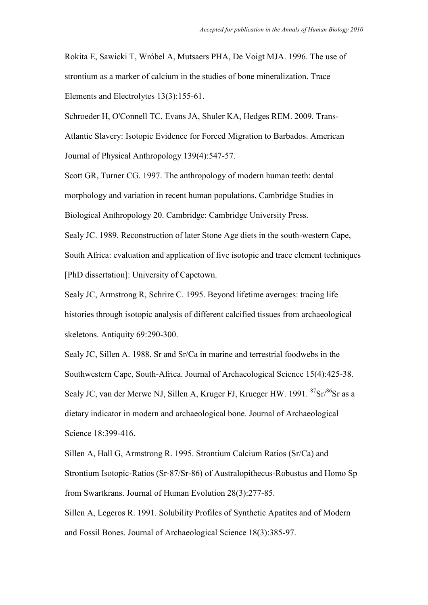Rokita E, Sawicki T, Wróbel A, Mutsaers PHA, De Voigt MJA. 1996. The use of strontium as a marker of calcium in the studies of bone mineralization. Trace Elements and Electrolytes 13(3):155-61.

Schroeder H, O'Connell TC, Evans JA, Shuler KA, Hedges REM. 2009. Trans-Atlantic Slavery: Isotopic Evidence for Forced Migration to Barbados. American Journal of Physical Anthropology 139(4):547-57.

Scott GR, Turner CG. 1997. The anthropology of modern human teeth: dental morphology and variation in recent human populations. Cambridge Studies in Biological Anthropology 20. Cambridge: Cambridge University Press.

Sealy JC. 1989. Reconstruction of later Stone Age diets in the south-western Cape, South Africa: evaluation and application of five isotopic and trace element techniques [PhD dissertation]: University of Capetown.

Sealy JC, Armstrong R, Schrire C. 1995. Beyond lifetime averages: tracing life histories through isotopic analysis of different calcified tissues from archaeological skeletons. Antiquity 69:290-300.

Sealy JC, Sillen A. 1988. Sr and Sr/Ca in marine and terrestrial foodwebs in the Southwestern Cape, South-Africa. Journal of Archaeological Science 15(4):425-38. Sealy JC, van der Merwe NJ, Sillen A, Kruger FJ, Krueger HW. 1991. <sup>87</sup>Sr/<sup>86</sup>Sr as a dietary indicator in modern and archaeological bone. Journal of Archaeological Science 18:399-416.

Sillen A, Hall G, Armstrong R. 1995. Strontium Calcium Ratios (Sr/Ca) and Strontium Isotopic-Ratios (Sr-87/Sr-86) of Australopithecus-Robustus and Homo Sp from Swartkrans. Journal of Human Evolution 28(3):277-85.

Sillen A, Legeros R. 1991. Solubility Profiles of Synthetic Apatites and of Modern and Fossil Bones. Journal of Archaeological Science 18(3):385-97.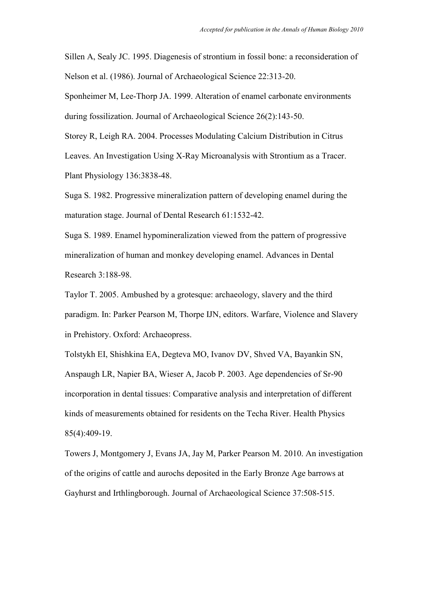Sillen A, Sealy JC. 1995. Diagenesis of strontium in fossil bone: a reconsideration of Nelson et al. (1986). Journal of Archaeological Science 22:313-20.

Sponheimer M, Lee-Thorp JA. 1999. Alteration of enamel carbonate environments during fossilization. Journal of Archaeological Science 26(2):143-50.

Storey R, Leigh RA. 2004. Processes Modulating Calcium Distribution in Citrus Leaves. An Investigation Using X-Ray Microanalysis with Strontium as a Tracer. Plant Physiology 136:3838-48.

Suga S. 1982. Progressive mineralization pattern of developing enamel during the maturation stage. Journal of Dental Research 61:1532-42.

Suga S. 1989. Enamel hypomineralization viewed from the pattern of progressive mineralization of human and monkey developing enamel. Advances in Dental Research 3:188-98.

Taylor T. 2005. Ambushed by a grotesque: archaeology, slavery and the third paradigm. In: Parker Pearson M, Thorpe IJN, editors. Warfare, Violence and Slavery in Prehistory. Oxford: Archaeopress.

Tolstykh EI, Shishkina EA, Degteva MO, Ivanov DV, Shved VA, Bayankin SN, Anspaugh LR, Napier BA, Wieser A, Jacob P. 2003. Age dependencies of Sr-90 incorporation in dental tissues: Comparative analysis and interpretation of different kinds of measurements obtained for residents on the Techa River. Health Physics 85(4):409-19.

Towers J, Montgomery J, Evans JA, Jay M, Parker Pearson M. 2010. An investigation of the origins of cattle and aurochs deposited in the Early Bronze Age barrows at Gayhurst and Irthlingborough. Journal of Archaeological Science 37:508-515.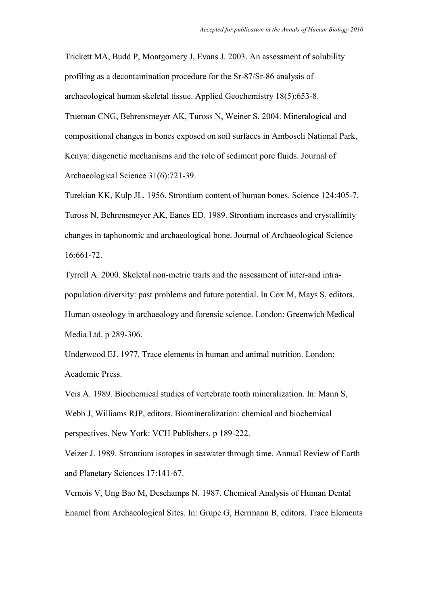Trickett MA, Budd P, Montgomery J, Evans J. 2003. An assessment of solubility profiling as a decontamination procedure for the Sr-87/Sr-86 analysis of archaeological human skeletal tissue. Applied Geochemistry 18(5):653-8. Trueman CNG, Behrensmeyer AK, Tuross N, Weiner S. 2004. Mineralogical and compositional changes in bones exposed on soil surfaces in Amboseli National Park, Kenya: diagenetic mechanisms and the role of sediment pore fluids. Journal of Archaeological Science 31(6):721-39.

Turekian KK, Kulp JL. 1956. Strontium content of human bones. Science 124:405-7. Tuross N, Behrensmeyer AK, Eanes ED. 1989. Strontium increases and crystallinity changes in taphonomic and archaeological bone. Journal of Archaeological Science 16:661-72.

Tyrrell A. 2000. Skeletal non-metric traits and the assessment of inter-and intrapopulation diversity: past problems and future potential. In Cox M, Mays S, editors. Human osteology in archaeology and forensic science. London: Greenwich Medical Media Ltd. p 289-306.

Underwood EJ. 1977. Trace elements in human and animal nutrition. London: Academic Press.

Veis A. 1989. Biochemical studies of vertebrate tooth mineralization. In: Mann S, Webb J, Williams RJP, editors. Biomineralization: chemical and biochemical perspectives. New York: VCH Publishers. p 189-222.

Veizer J. 1989. Strontium isotopes in seawater through time. Annual Review of Earth and Planetary Sciences 17:141-67.

Vernois V, Ung Bao M, Deschamps N. 1987. Chemical Analysis of Human Dental Enamel from Archaeological Sites. In: Grupe G, Herrmann B, editors. Trace Elements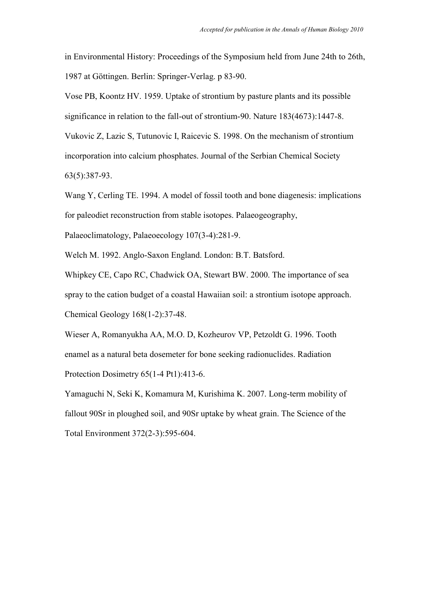in Environmental History: Proceedings of the Symposium held from June 24th to 26th, 1987 at Göttingen. Berlin: Springer-Verlag. p 83-90.

Vose PB, Koontz HV. 1959. Uptake of strontium by pasture plants and its possible significance in relation to the fall-out of strontium-90. Nature 183(4673):1447-8.

Vukovic Z, Lazic S, Tutunovic I, Raicevic S. 1998. On the mechanism of strontium incorporation into calcium phosphates. Journal of the Serbian Chemical Society 63(5):387-93.

Wang Y, Cerling TE. 1994. A model of fossil tooth and bone diagenesis: implications for paleodiet reconstruction from stable isotopes. Palaeogeography,

Palaeoclimatology, Palaeoecology 107(3-4):281-9.

Welch M. 1992. Anglo-Saxon England. London: B.T. Batsford.

Whipkey CE, Capo RC, Chadwick OA, Stewart BW. 2000. The importance of sea spray to the cation budget of a coastal Hawaiian soil: a strontium isotope approach. Chemical Geology 168(1-2):37-48.

Wieser A, Romanyukha AA, M.O. D, Kozheurov VP, Petzoldt G. 1996. Tooth enamel as a natural beta dosemeter for bone seeking radionuclides. Radiation Protection Dosimetry 65(1-4 Pt1):413-6.

Yamaguchi N, Seki K, Komamura M, Kurishima K. 2007. Long-term mobility of fallout 90Sr in ploughed soil, and 90Sr uptake by wheat grain. The Science of the Total Environment 372(2-3):595-604.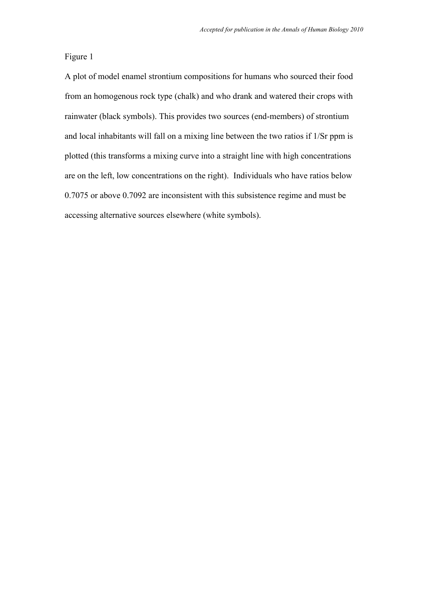A plot of model enamel strontium compositions for humans who sourced their food from an homogenous rock type (chalk) and who drank and watered their crops with rainwater (black symbols). This provides two sources (end-members) of strontium and local inhabitants will fall on a mixing line between the two ratios if 1/Sr ppm is plotted (this transforms a mixing curve into a straight line with high concentrations are on the left, low concentrations on the right). Individuals who have ratios below 0.7075 or above 0.7092 are inconsistent with this subsistence regime and must be accessing alternative sources elsewhere (white symbols).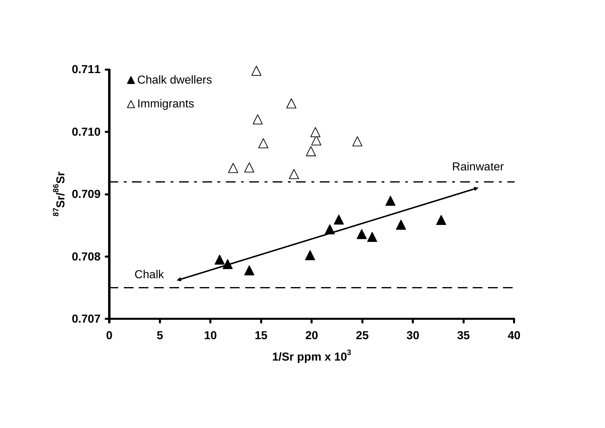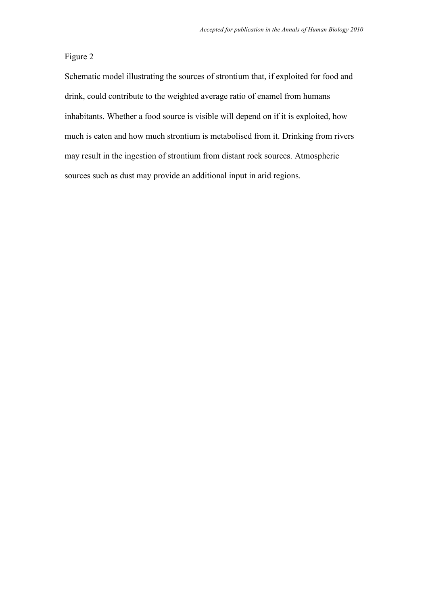Schematic model illustrating the sources of strontium that, if exploited for food and drink, could contribute to the weighted average ratio of enamel from humans inhabitants. Whether a food source is visible will depend on if it is exploited, how much is eaten and how much strontium is metabolised from it. Drinking from rivers may result in the ingestion of strontium from distant rock sources. Atmospheric sources such as dust may provide an additional input in arid regions.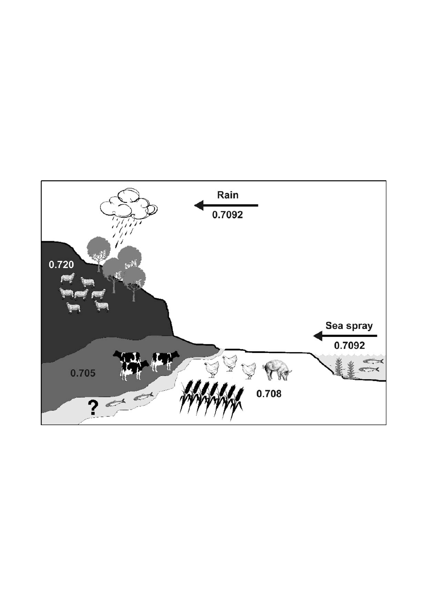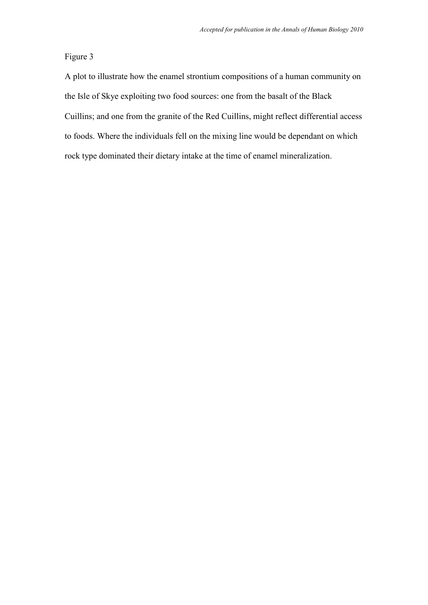A plot to illustrate how the enamel strontium compositions of a human community on the Isle of Skye exploiting two food sources: one from the basalt of the Black Cuillins; and one from the granite of the Red Cuillins, might reflect differential access to foods. Where the individuals fell on the mixing line would be dependant on which rock type dominated their dietary intake at the time of enamel mineralization.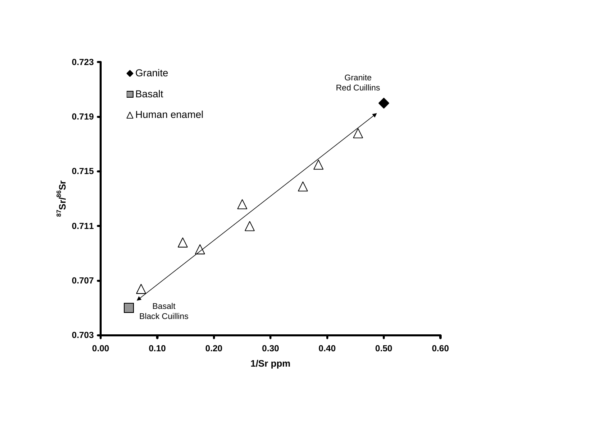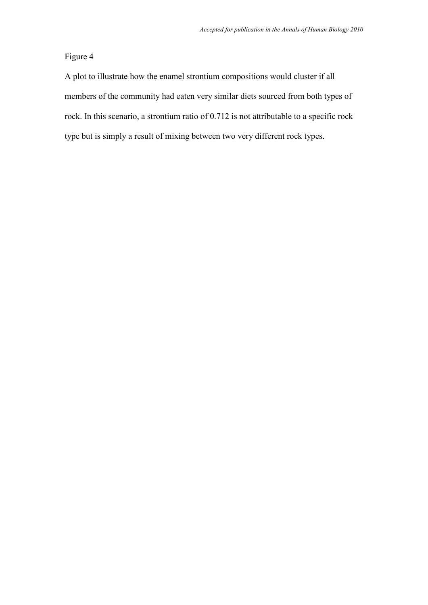A plot to illustrate how the enamel strontium compositions would cluster if all members of the community had eaten very similar diets sourced from both types of rock. In this scenario, a strontium ratio of 0.712 is not attributable to a specific rock type but is simply a result of mixing between two very different rock types.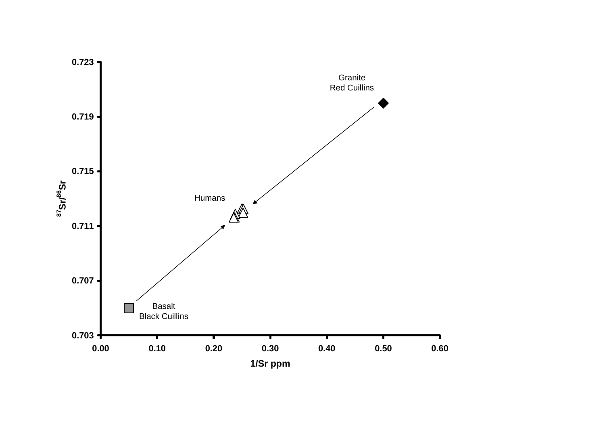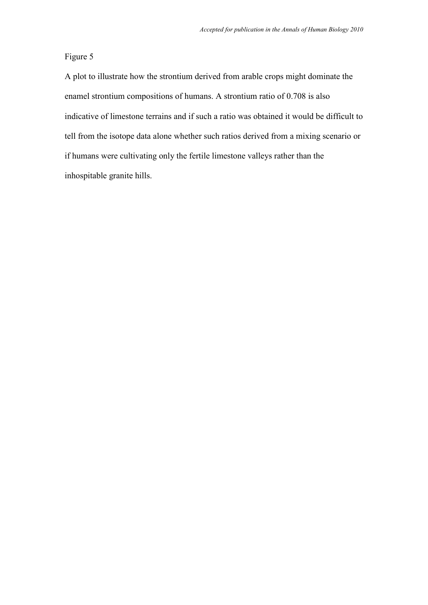A plot to illustrate how the strontium derived from arable crops might dominate the enamel strontium compositions of humans. A strontium ratio of 0.708 is also indicative of limestone terrains and if such a ratio was obtained it would be difficult to tell from the isotope data alone whether such ratios derived from a mixing scenario or if humans were cultivating only the fertile limestone valleys rather than the inhospitable granite hills.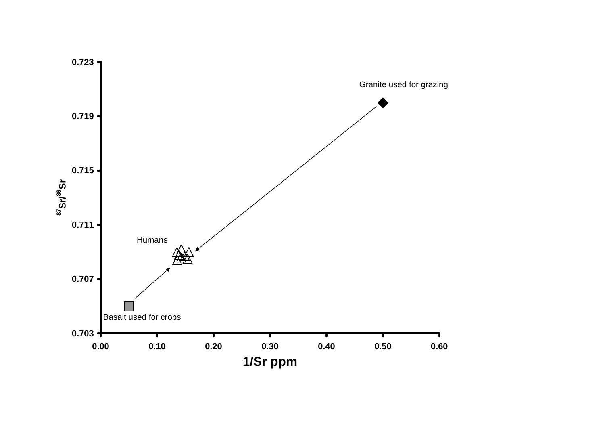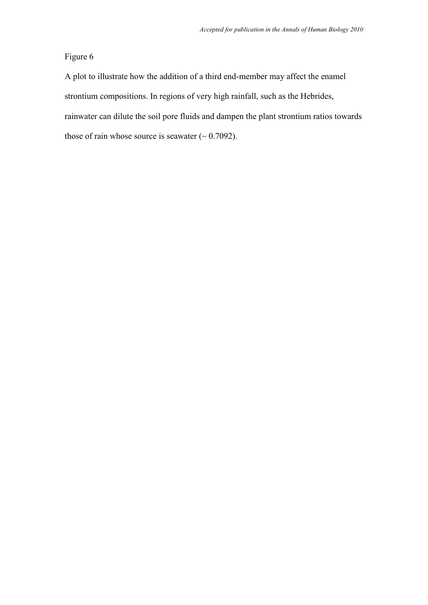A plot to illustrate how the addition of a third end-member may affect the enamel strontium compositions. In regions of very high rainfall, such as the Hebrides, rainwater can dilute the soil pore fluids and dampen the plant strontium ratios towards those of rain whose source is seawater  $($  ~ 0.7092).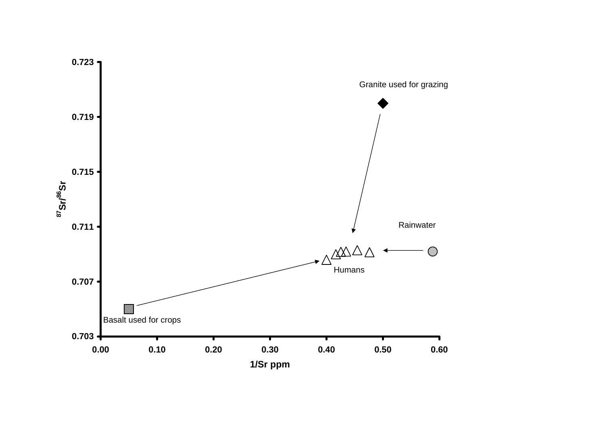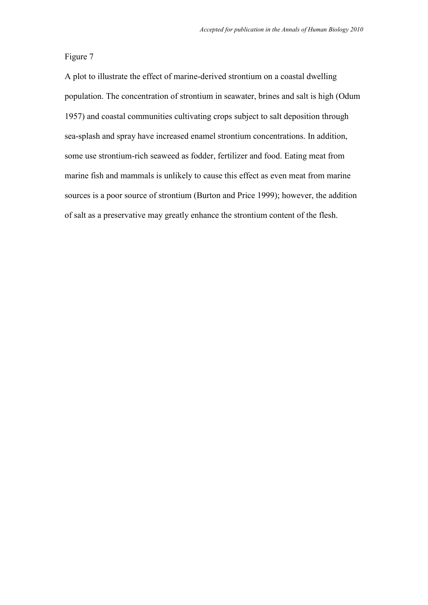A plot to illustrate the effect of marine-derived strontium on a coastal dwelling population. The concentration of strontium in seawater, brines and salt is high (Odum 1957) and coastal communities cultivating crops subject to salt deposition through sea-splash and spray have increased enamel strontium concentrations. In addition, some use strontium-rich seaweed as fodder, fertilizer and food. Eating meat from marine fish and mammals is unlikely to cause this effect as even meat from marine sources is a poor source of strontium (Burton and Price 1999); however, the addition of salt as a preservative may greatly enhance the strontium content of the flesh.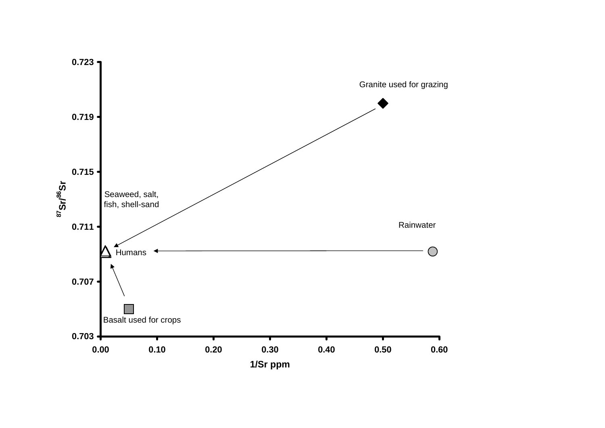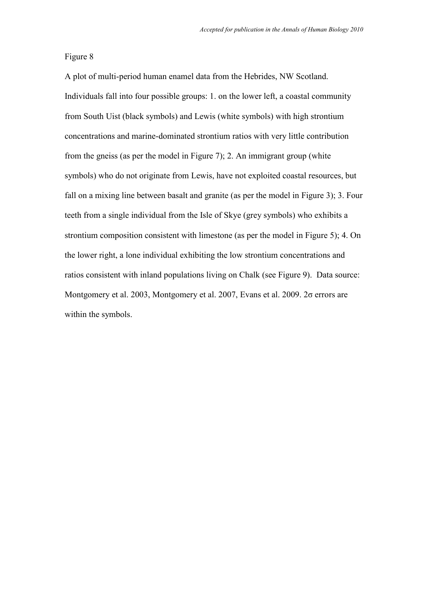A plot of multi-period human enamel data from the Hebrides, NW Scotland. Individuals fall into four possible groups: 1. on the lower left, a coastal community from South Uist (black symbols) and Lewis (white symbols) with high strontium concentrations and marine-dominated strontium ratios with very little contribution from the gneiss (as per the model in Figure 7); 2. An immigrant group (white symbols) who do not originate from Lewis, have not exploited coastal resources, but fall on a mixing line between basalt and granite (as per the model in Figure 3); 3. Four teeth from a single individual from the Isle of Skye (grey symbols) who exhibits a strontium composition consistent with limestone (as per the model in Figure 5); 4. On the lower right, a lone individual exhibiting the low strontium concentrations and ratios consistent with inland populations living on Chalk (see Figure 9). Data source: Montgomery et al. 2003, Montgomery et al. 2007, Evans et al. 2009. 2σ errors are within the symbols.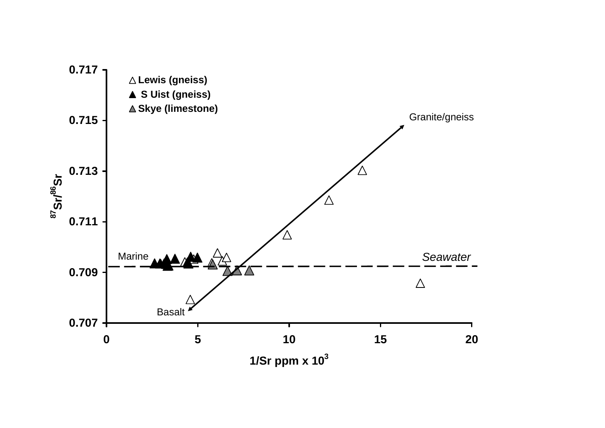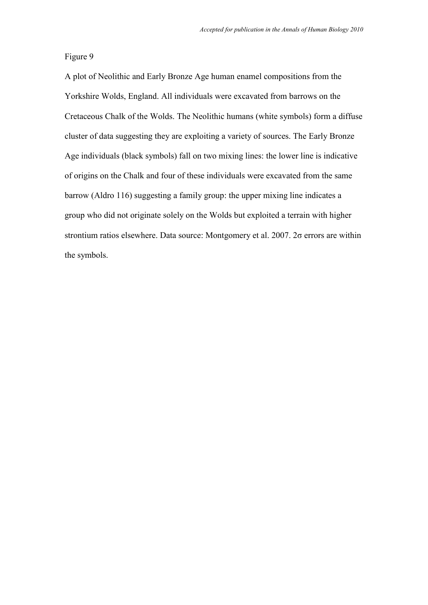A plot of Neolithic and Early Bronze Age human enamel compositions from the Yorkshire Wolds, England. All individuals were excavated from barrows on the Cretaceous Chalk of the Wolds. The Neolithic humans (white symbols) form a diffuse cluster of data suggesting they are exploiting a variety of sources. The Early Bronze Age individuals (black symbols) fall on two mixing lines: the lower line is indicative of origins on the Chalk and four of these individuals were excavated from the same barrow (Aldro 116) suggesting a family group: the upper mixing line indicates a group who did not originate solely on the Wolds but exploited a terrain with higher strontium ratios elsewhere. Data source: Montgomery et al. 2007. 2σ errors are within the symbols.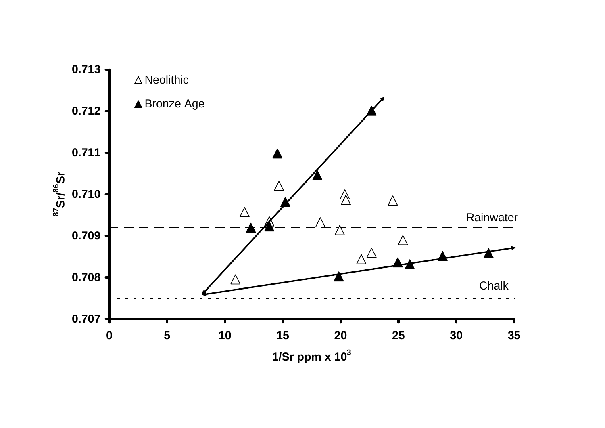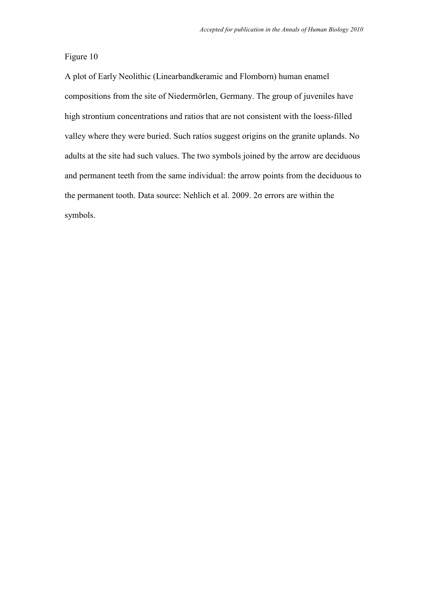A plot of Early Neolithic (Linearbandkeramic and Flomborn) human enamel compositions from the site of Niedermörlen, Germany. The group of juveniles have high strontium concentrations and ratios that are not consistent with the loess-filled valley where they were buried. Such ratios suggest origins on the granite uplands. No adults at the site had such values. The two symbols joined by the arrow are deciduous and permanent teeth from the same individual: the arrow points from the deciduous to the permanent tooth. Data source: Nehlich et al. 2009. 2σ errors are within the symbols.